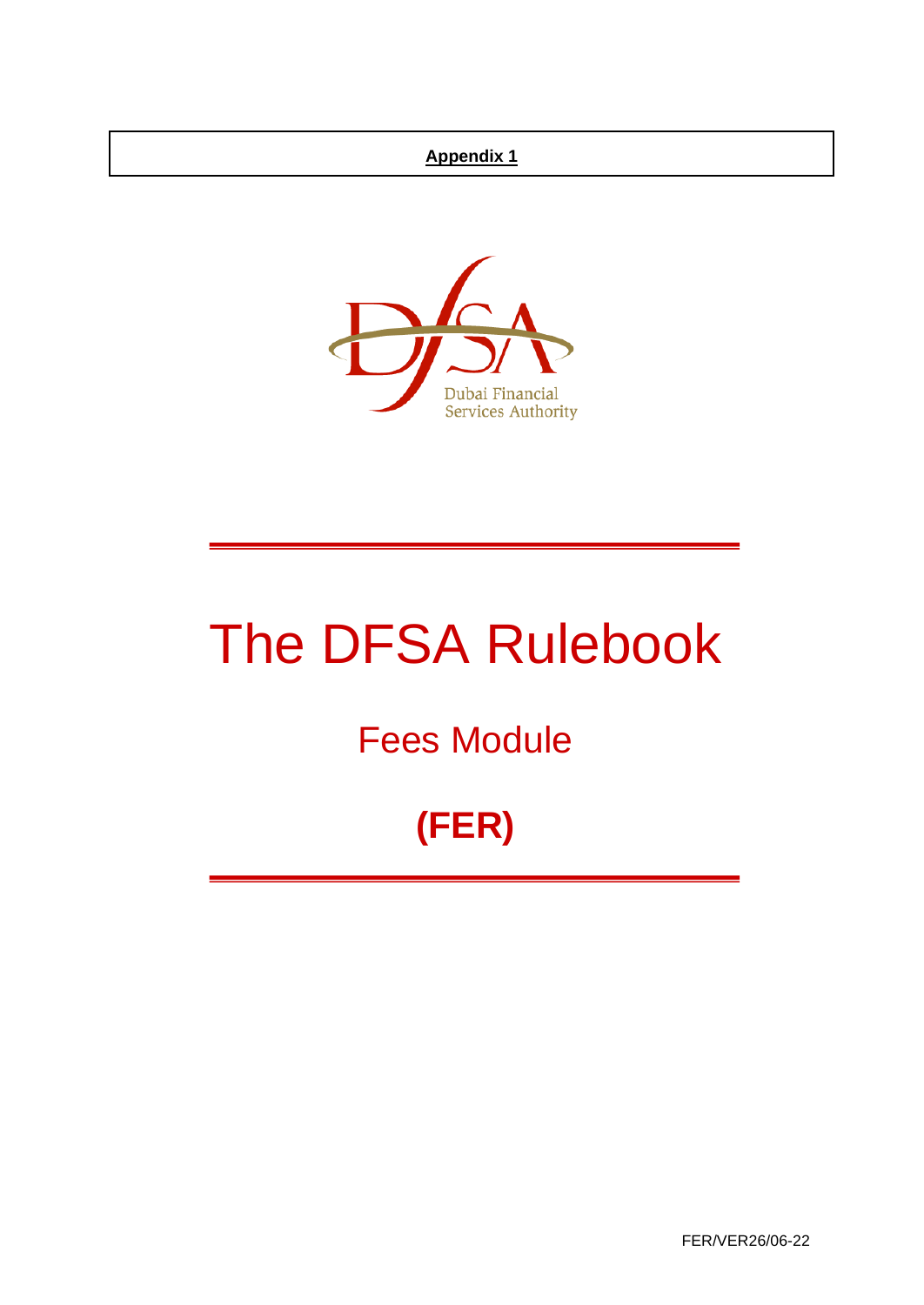## **Appendix 1**



# The DFSA Rulebook

## Fees Module

## **(FER)**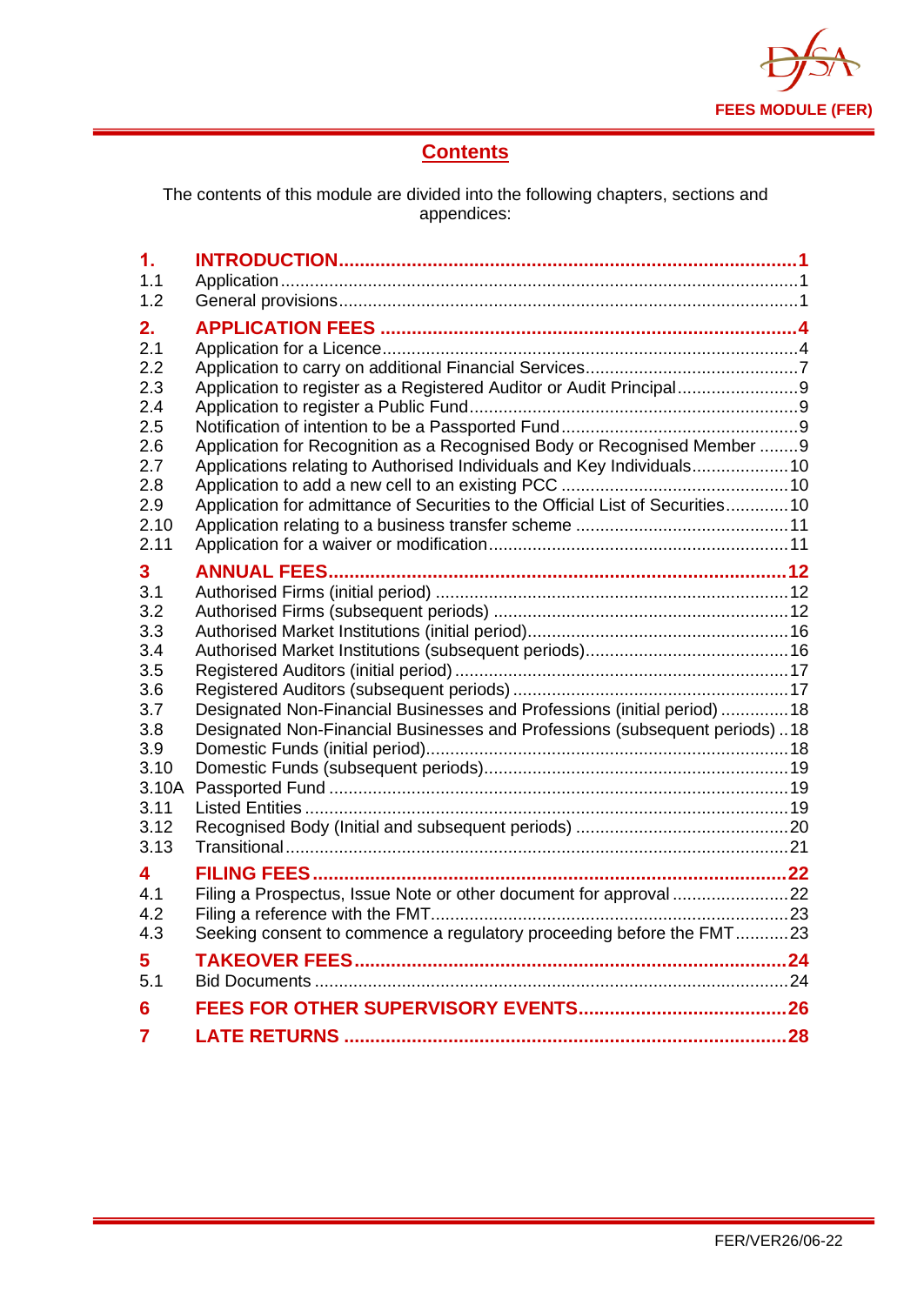

## **Contents**

The contents of this module are divided into the following chapters, sections and appendices:

| $\mathbf 1$ . |                                                                                |  |
|---------------|--------------------------------------------------------------------------------|--|
| 1.1           |                                                                                |  |
| 1.2           |                                                                                |  |
| 2.            |                                                                                |  |
| 2.1           |                                                                                |  |
| 2.2           |                                                                                |  |
| 2.3           | Application to register as a Registered Auditor or Audit Principal9            |  |
| 2.4           |                                                                                |  |
| 2.5           |                                                                                |  |
| 2.6           | Application for Recognition as a Recognised Body or Recognised Member 9        |  |
| 2.7<br>2.8    | Applications relating to Authorised Individuals and Key Individuals 10         |  |
| 2.9           | Application for admittance of Securities to the Official List of Securities 10 |  |
| 2.10          |                                                                                |  |
| 2.11          |                                                                                |  |
|               |                                                                                |  |
| 3<br>3.1      |                                                                                |  |
| 3.2           |                                                                                |  |
| 3.3           |                                                                                |  |
| 3.4           |                                                                                |  |
| 3.5           |                                                                                |  |
| 3.6           |                                                                                |  |
| 3.7           | Designated Non-Financial Businesses and Professions (initial period)  18       |  |
| 3.8           | Designated Non-Financial Businesses and Professions (subsequent periods)18     |  |
| 3.9           |                                                                                |  |
| 3.10          |                                                                                |  |
| 3.10A<br>3.11 |                                                                                |  |
| 3.12          |                                                                                |  |
| 3.13          |                                                                                |  |
|               |                                                                                |  |
| 4<br>4.1      |                                                                                |  |
| 4.2           |                                                                                |  |
| 4.3           | Seeking consent to commence a regulatory proceeding before the FMT23           |  |
|               |                                                                                |  |
| 5<br>5.1      |                                                                                |  |
|               |                                                                                |  |
| 6             |                                                                                |  |
| 7             |                                                                                |  |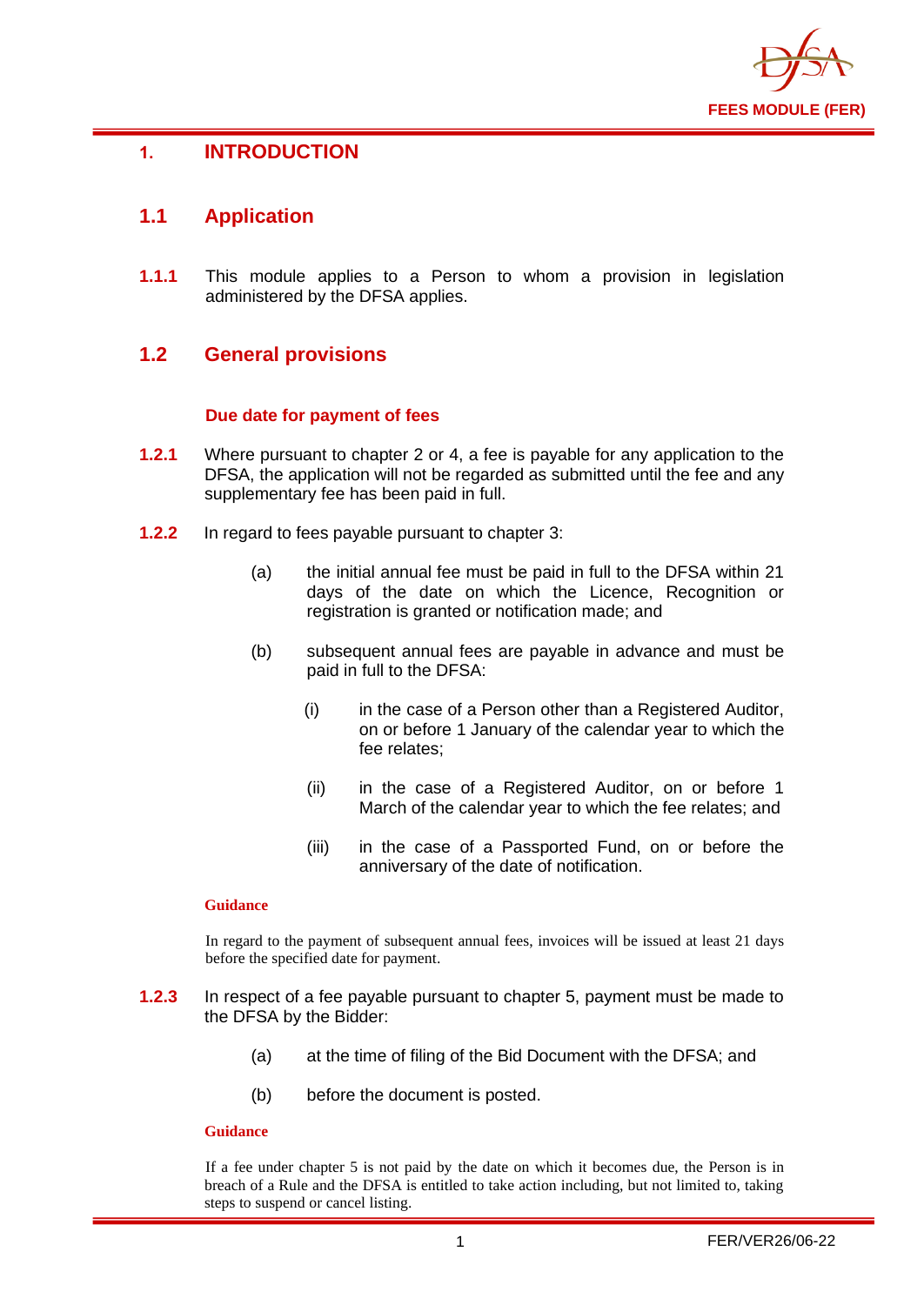

## <span id="page-2-0"></span>**1. INTRODUCTION**

## <span id="page-2-1"></span>**1.1 Application**

**1.1.1** This module applies to a Person to whom a provision in legislation administered by the DFSA applies.

## <span id="page-2-2"></span>**1.2 General provisions**

#### **Due date for payment of fees**

- **1.2.1** Where pursuant to chapter 2 or 4, a fee is payable for any application to the DFSA, the application will not be regarded as submitted until the fee and any supplementary fee has been paid in full.
- **1.2.2** In regard to fees payable pursuant to chapter 3:
	- (a) the initial annual fee must be paid in full to the DFSA within 21 days of the date on which the Licence, Recognition or registration is granted or notification made; and
	- (b) subsequent annual fees are payable in advance and must be paid in full to the DFSA:
		- (i) in the case of a Person other than a Registered Auditor, on or before 1 January of the calendar year to which the fee relates;
		- (ii) in the case of a Registered Auditor, on or before 1 March of the calendar year to which the fee relates; and
		- (iii) in the case of a Passported Fund, on or before the anniversary of the date of notification.

#### **Guidance**

In regard to the payment of subsequent annual fees, invoices will be issued at least 21 days before the specified date for payment.

- **1.2.3** In respect of a fee payable pursuant to chapter 5, payment must be made to the DFSA by the Bidder:
	- (a) at the time of filing of the Bid Document with the DFSA; and
	- (b) before the document is posted.

#### **Guidance**

If a fee under chapter 5 is not paid by the date on which it becomes due, the Person is in breach of a Rule and the DFSA is entitled to take action including, but not limited to, taking steps to suspend or cancel listing.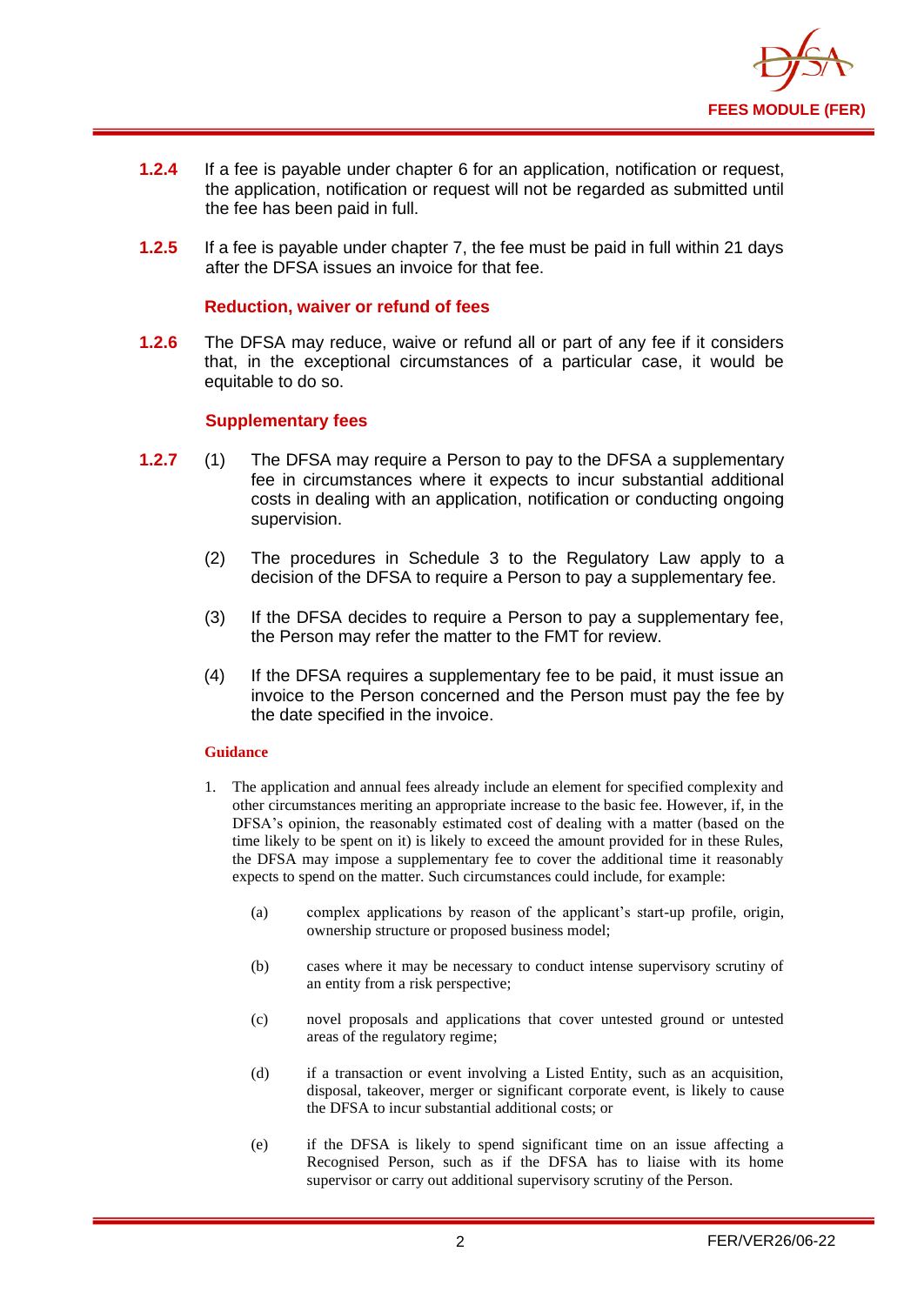

- **1.2.4** If a fee is payable under chapter 6 for an application, notification or request, the application, notification or request will not be regarded as submitted until the fee has been paid in full.
- **1.2.5** If a fee is payable under chapter 7, the fee must be paid in full within 21 days after the DFSA issues an invoice for that fee.

#### **Reduction, waiver or refund of fees**

**1.2.6** The DFSA may reduce, waive or refund all or part of any fee if it considers that, in the exceptional circumstances of a particular case, it would be equitable to do so.

#### **Supplementary fees**

- **1.2.7** (1) The DFSA may require a Person to pay to the DFSA a supplementary fee in circumstances where it expects to incur substantial additional costs in dealing with an application, notification or conducting ongoing supervision.
	- (2) The procedures in Schedule 3 to the Regulatory Law apply to a decision of the DFSA to require a Person to pay a supplementary fee.
	- (3) If the DFSA decides to require a Person to pay a supplementary fee, the Person may refer the matter to the FMT for review.
	- (4) If the DFSA requires a supplementary fee to be paid, it must issue an invoice to the Person concerned and the Person must pay the fee by the date specified in the invoice.

#### **Guidance**

- 1. The application and annual fees already include an element for specified complexity and other circumstances meriting an appropriate increase to the basic fee. However, if, in the DFSA's opinion, the reasonably estimated cost of dealing with a matter (based on the time likely to be spent on it) is likely to exceed the amount provided for in these Rules, the DFSA may impose a supplementary fee to cover the additional time it reasonably expects to spend on the matter. Such circumstances could include, for example:
	- (a) complex applications by reason of the applicant's start-up profile, origin, ownership structure or proposed business model;
	- (b) cases where it may be necessary to conduct intense supervisory scrutiny of an entity from a risk perspective;
	- (c) novel proposals and applications that cover untested ground or untested areas of the regulatory regime;
	- (d) if a transaction or event involving a Listed Entity, such as an acquisition, disposal, takeover, merger or significant corporate event, is likely to cause the DFSA to incur substantial additional costs; or
	- (e) if the DFSA is likely to spend significant time on an issue affecting a Recognised Person, such as if the DFSA has to liaise with its home supervisor or carry out additional supervisory scrutiny of the Person.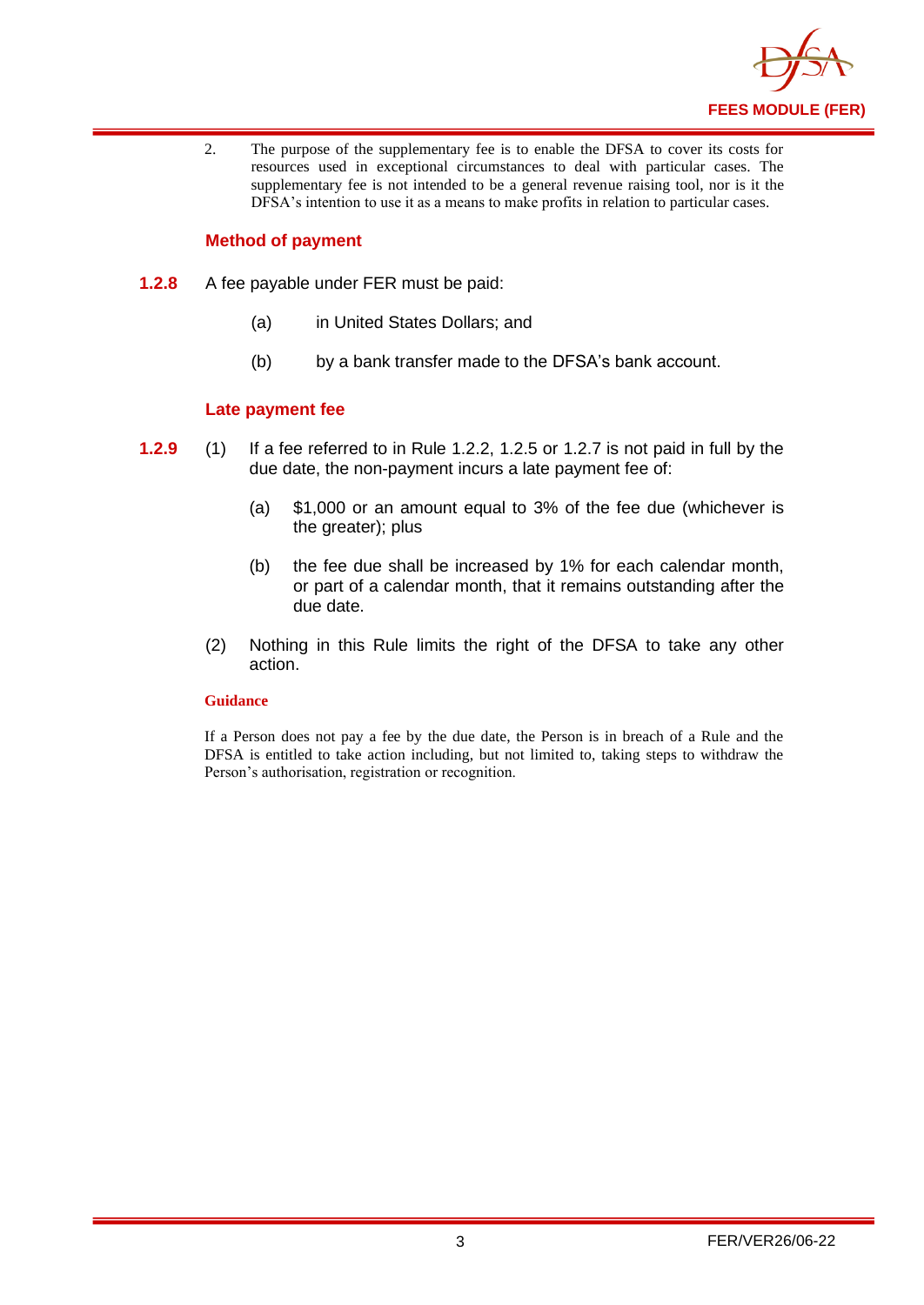

2. The purpose of the supplementary fee is to enable the DFSA to cover its costs for resources used in exceptional circumstances to deal with particular cases. The supplementary fee is not intended to be a general revenue raising tool, nor is it the DFSA's intention to use it as a means to make profits in relation to particular cases.

#### **Method of payment**

- **1.2.8** A fee payable under FER must be paid:
	- (a) in United States Dollars; and
	- (b) by a bank transfer made to the DFSA's bank account.

#### **Late payment fee**

- **1.2.9** (1) If a fee referred to in Rule 1.2.2, 1.2.5 or 1.2.7 is not paid in full by the due date, the non-payment incurs a late payment fee of:
	- (a) \$1,000 or an amount equal to 3% of the fee due (whichever is the greater); plus
	- (b) the fee due shall be increased by 1% for each calendar month, or part of a calendar month, that it remains outstanding after the due date.
	- (2) Nothing in this Rule limits the right of the DFSA to take any other action.

#### **Guidance**

If a Person does not pay a fee by the due date, the Person is in breach of a Rule and the DFSA is entitled to take action including, but not limited to, taking steps to withdraw the Person's authorisation, registration or recognition.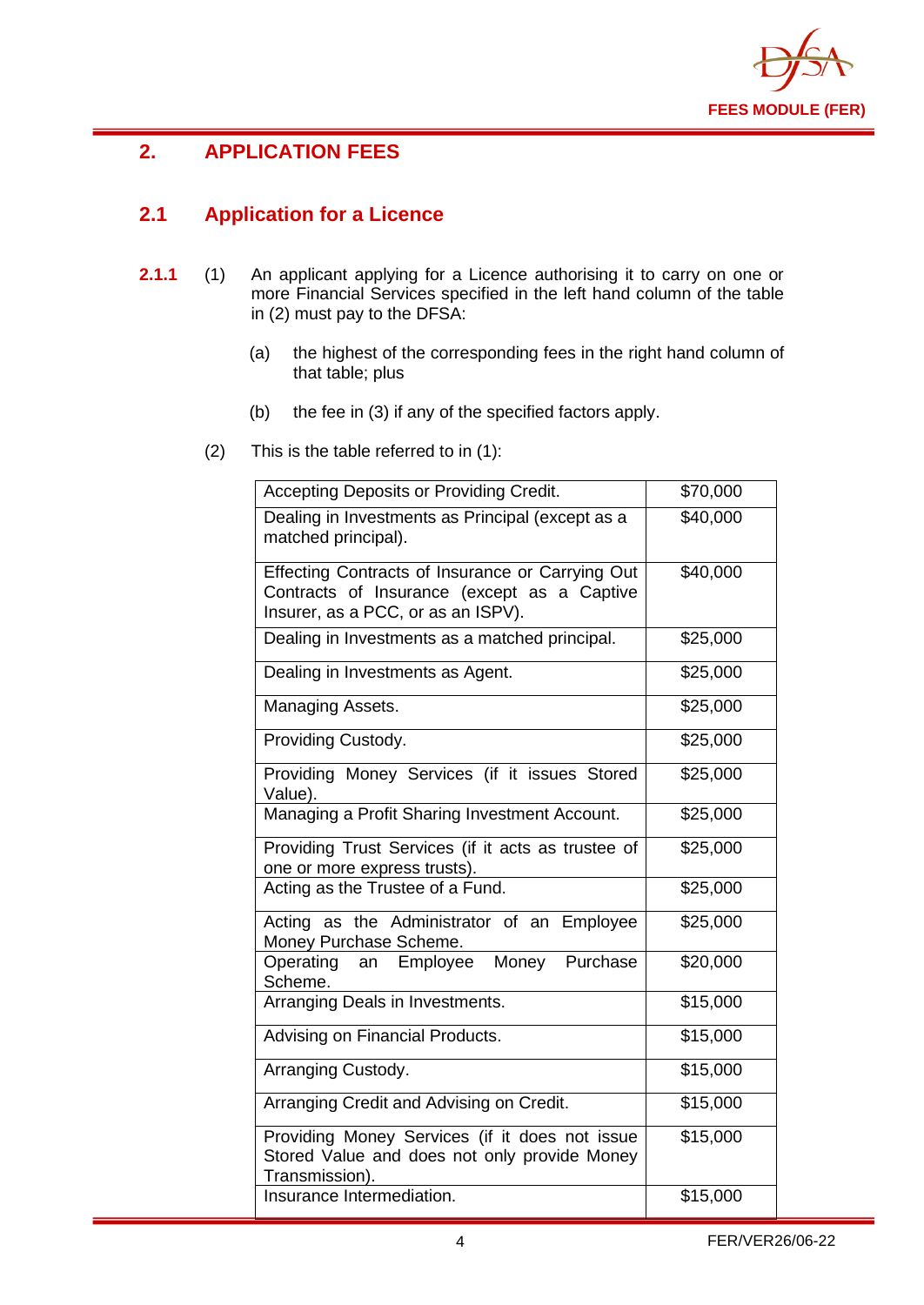

## <span id="page-5-0"></span>**2. APPLICATION FEES**

## <span id="page-5-1"></span>**2.1 Application for a Licence**

- **2.1.1** (1) An applicant applying for a Licence authorising it to carry on one or more Financial Services specified in the left hand column of the table in (2) must pay to the DFSA:
	- (a) the highest of the corresponding fees in the right hand column of that table; plus
	- (b) the fee in (3) if any of the specified factors apply.
	- (2) This is the table referred to in (1):

| Accepting Deposits or Providing Credit.                                                                                               | \$70,000 |
|---------------------------------------------------------------------------------------------------------------------------------------|----------|
| Dealing in Investments as Principal (except as a<br>matched principal).                                                               | \$40,000 |
| Effecting Contracts of Insurance or Carrying Out<br>Contracts of Insurance (except as a Captive<br>Insurer, as a PCC, or as an ISPV). | \$40,000 |
| Dealing in Investments as a matched principal.                                                                                        | \$25,000 |
| Dealing in Investments as Agent.                                                                                                      | \$25,000 |
| Managing Assets.                                                                                                                      | \$25,000 |
| Providing Custody.                                                                                                                    | \$25,000 |
| Providing Money Services (if it issues Stored<br>Value).                                                                              | \$25,000 |
| Managing a Profit Sharing Investment Account.                                                                                         | \$25,000 |
| Providing Trust Services (if it acts as trustee of<br>one or more express trusts).                                                    | \$25,000 |
| Acting as the Trustee of a Fund.                                                                                                      | \$25,000 |
| Acting as the Administrator of an Employee<br>Money Purchase Scheme.                                                                  | \$25,000 |
| Money Purchase<br>Operating<br>an Employee<br>Scheme.                                                                                 | \$20,000 |
| Arranging Deals in Investments.                                                                                                       | \$15,000 |
| Advising on Financial Products.                                                                                                       | \$15,000 |
| Arranging Custody.                                                                                                                    | \$15,000 |
| Arranging Credit and Advising on Credit.                                                                                              | \$15,000 |
| Providing Money Services (if it does not issue<br>Stored Value and does not only provide Money<br>Transmission).                      | \$15,000 |
| Insurance Intermediation.                                                                                                             | \$15,000 |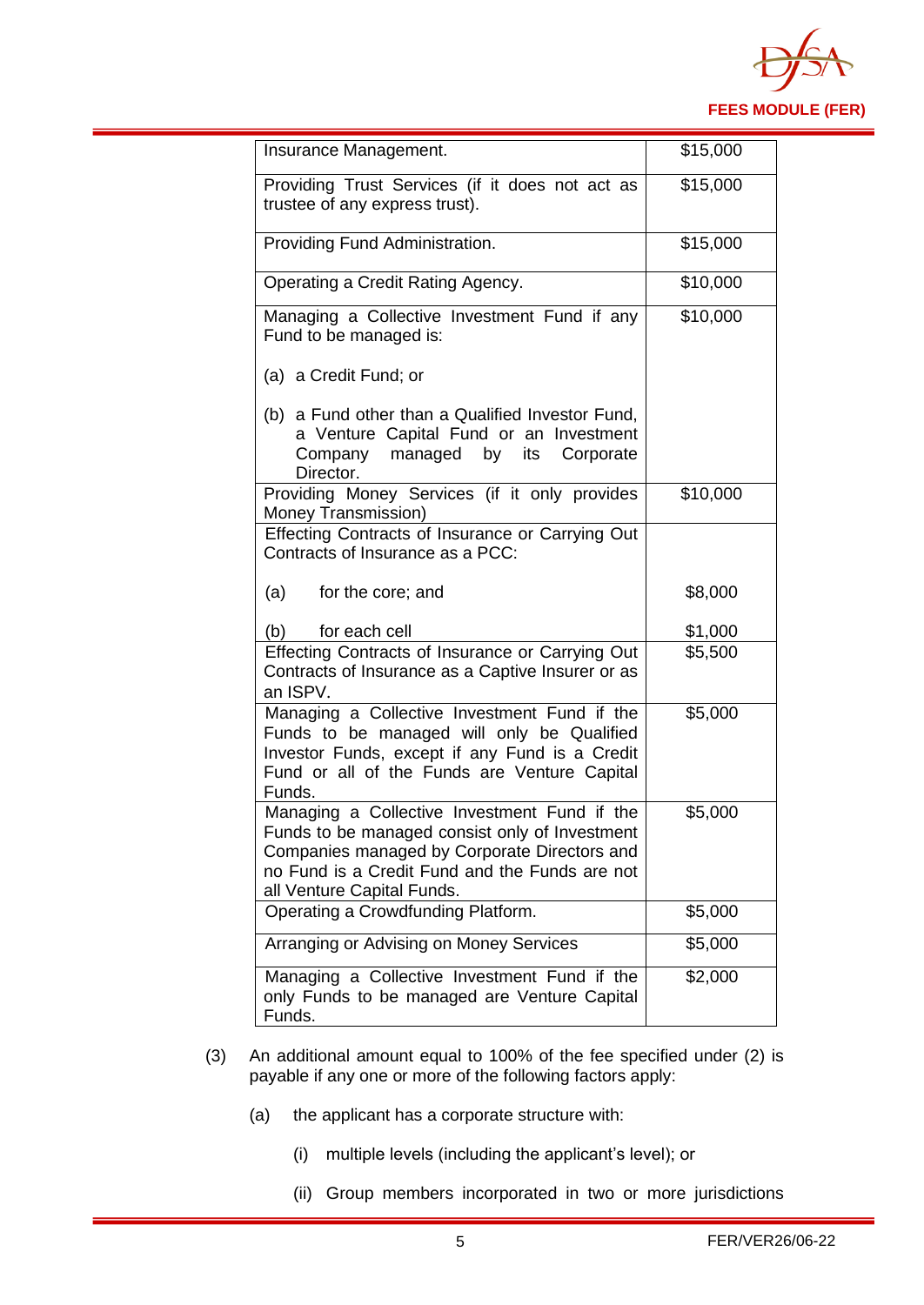

| Insurance Management.                                                                                                                                                                                                          | \$15,000 |
|--------------------------------------------------------------------------------------------------------------------------------------------------------------------------------------------------------------------------------|----------|
| Providing Trust Services (if it does not act as<br>trustee of any express trust).                                                                                                                                              | \$15,000 |
| Providing Fund Administration.                                                                                                                                                                                                 | \$15,000 |
| Operating a Credit Rating Agency.                                                                                                                                                                                              | \$10,000 |
| Managing a Collective Investment Fund if any<br>Fund to be managed is:                                                                                                                                                         | \$10,000 |
| (a) a Credit Fund; or                                                                                                                                                                                                          |          |
| (b) a Fund other than a Qualified Investor Fund,<br>a Venture Capital Fund or an Investment<br>Company managed by<br>its Corporate<br>Director.                                                                                |          |
| Providing Money Services (if it only provides<br>Money Transmission)                                                                                                                                                           | \$10,000 |
| Effecting Contracts of Insurance or Carrying Out<br>Contracts of Insurance as a PCC:                                                                                                                                           |          |
| (a)<br>for the core; and                                                                                                                                                                                                       | \$8,000  |
| for each cell<br>(b)                                                                                                                                                                                                           | \$1,000  |
| Effecting Contracts of Insurance or Carrying Out<br>Contracts of Insurance as a Captive Insurer or as<br>an ISPV.                                                                                                              | \$5,500  |
| Managing a Collective Investment Fund if the<br>Funds to be managed will only be Qualified<br>Investor Funds, except if any Fund is a Credit<br>Fund or all of the Funds are Venture Capital<br>Funds.                         | \$5,000  |
| Managing a Collective Investment Fund if the<br>Funds to be managed consist only of Investment<br>Companies managed by Corporate Directors and<br>no Fund is a Credit Fund and the Funds are not<br>all Venture Capital Funds. | \$5,000  |
| Operating a Crowdfunding Platform.                                                                                                                                                                                             | \$5,000  |
| Arranging or Advising on Money Services                                                                                                                                                                                        | \$5,000  |
| Managing a Collective Investment Fund if the<br>only Funds to be managed are Venture Capital<br>Funds.                                                                                                                         | \$2,000  |

- (3) An additional amount equal to 100% of the fee specified under (2) is payable if any one or more of the following factors apply:
	- (a) the applicant has a corporate structure with:
		- (i) multiple levels (including the applicant's level); or
		- (ii) Group members incorporated in two or more jurisdictions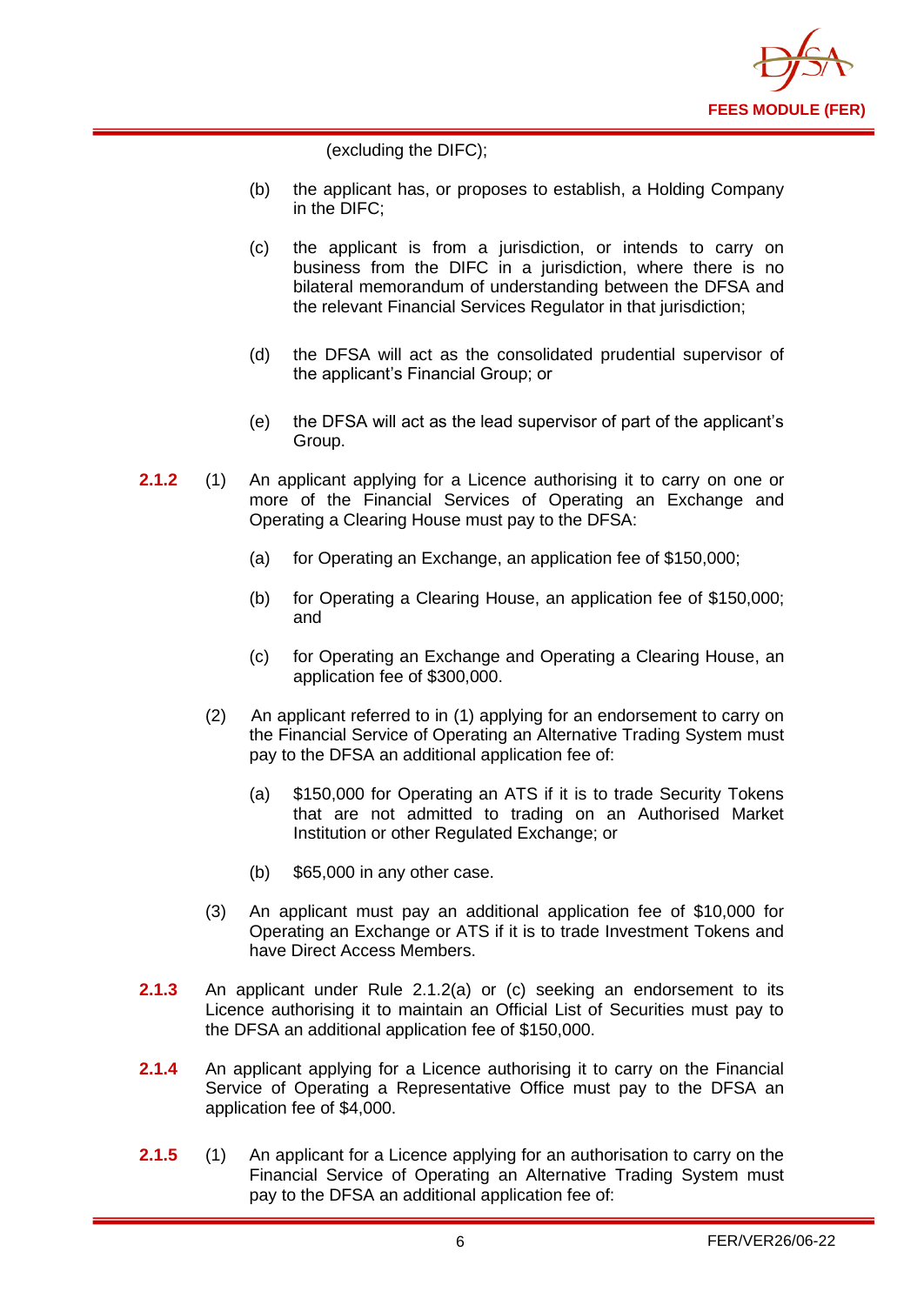

(excluding the DIFC);

- (b) the applicant has, or proposes to establish, a Holding Company in the DIFC;
- (c) the applicant is from a jurisdiction, or intends to carry on business from the DIFC in a jurisdiction, where there is no bilateral memorandum of understanding between the DFSA and the relevant Financial Services Regulator in that jurisdiction;
- (d) the DFSA will act as the consolidated prudential supervisor of the applicant's Financial Group; or
- (e) the DFSA will act as the lead supervisor of part of the applicant's Group.
- **2.1.2** (1) An applicant applying for a Licence authorising it to carry on one or more of the Financial Services of Operating an Exchange and Operating a Clearing House must pay to the DFSA:
	- (a) for Operating an Exchange, an application fee of \$150,000;
	- (b) for Operating a Clearing House, an application fee of \$150,000; and
	- (c) for Operating an Exchange and Operating a Clearing House, an application fee of \$300,000.
	- (2) An applicant referred to in (1) applying for an endorsement to carry on the Financial Service of Operating an Alternative Trading System must pay to the DFSA an additional application fee of:
		- (a) \$150,000 for Operating an ATS if it is to trade Security Tokens that are not admitted to trading on an Authorised Market Institution or other Regulated Exchange; or
		- (b) \$65,000 in any other case.
	- (3) An applicant must pay an additional application fee of \$10,000 for Operating an Exchange or ATS if it is to trade Investment Tokens and have Direct Access Members.
- **2.1.3** An applicant under Rule 2.1.2(a) or (c) seeking an endorsement to its Licence authorising it to maintain an Official List of Securities must pay to the DFSA an additional application fee of \$150,000.
- **2.1.4** An applicant applying for a Licence authorising it to carry on the Financial Service of Operating a Representative Office must pay to the DFSA an application fee of \$4,000.
- **2.1.5** (1) An applicant for a Licence applying for an authorisation to carry on the Financial Service of Operating an Alternative Trading System must pay to the DFSA an additional application fee of: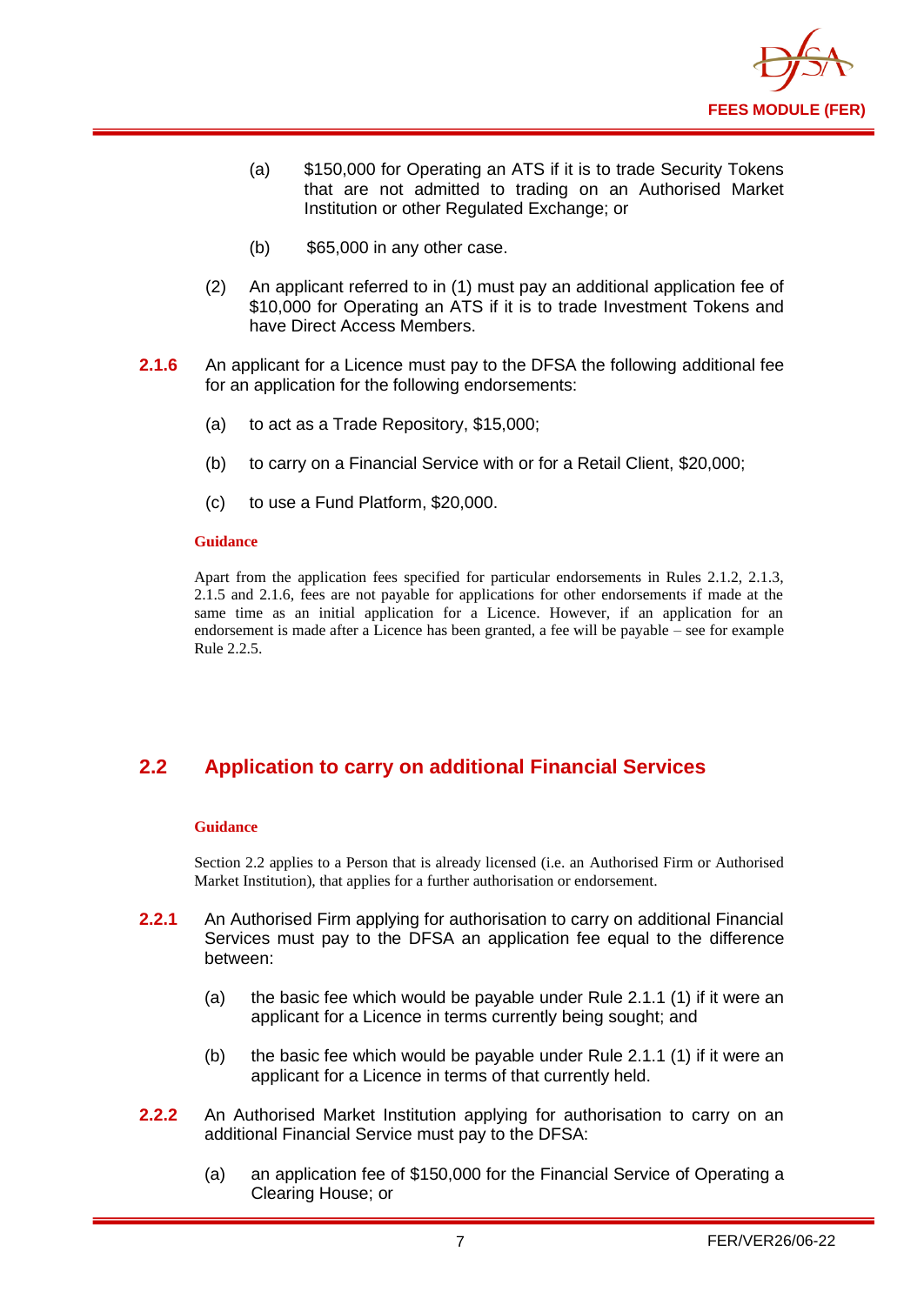

- (a) \$150,000 for Operating an ATS if it is to trade Security Tokens that are not admitted to trading on an Authorised Market Institution or other Regulated Exchange; or
- (b) \$65,000 in any other case.
- (2) An applicant referred to in (1) must pay an additional application fee of \$10,000 for Operating an ATS if it is to trade Investment Tokens and have Direct Access Members.
- **2.1.6** An applicant for a Licence must pay to the DFSA the following additional fee for an application for the following endorsements:
	- (a) to act as a Trade Repository, \$15,000;
	- (b) to carry on a Financial Service with or for a Retail Client, \$20,000;
	- (c) to use a Fund Platform, \$20,000.

#### **Guidance**

Apart from the application fees specified for particular endorsements in Rules 2.1.2, 2.1.3, 2.1.5 and 2.1.6, fees are not payable for applications for other endorsements if made at the same time as an initial application for a Licence. However, if an application for an endorsement is made after a Licence has been granted, a fee will be payable – see for example Rule 2.2.5.

## <span id="page-8-0"></span>**2.2 Application to carry on additional Financial Services**

#### **Guidance**

Section 2.2 applies to a Person that is already licensed (i.e. an Authorised Firm or Authorised Market Institution), that applies for a further authorisation or endorsement.

- **2.2.1** An Authorised Firm applying for authorisation to carry on additional Financial Services must pay to the DFSA an application fee equal to the difference between:
	- (a) the basic fee which would be payable under Rule 2.1.1 (1) if it were an applicant for a Licence in terms currently being sought; and
	- (b) the basic fee which would be payable under Rule 2.1.1 (1) if it were an applicant for a Licence in terms of that currently held.
- **2.2.2** An Authorised Market Institution applying for authorisation to carry on an additional Financial Service must pay to the DFSA:
	- (a) an application fee of \$150,000 for the Financial Service of Operating a Clearing House; or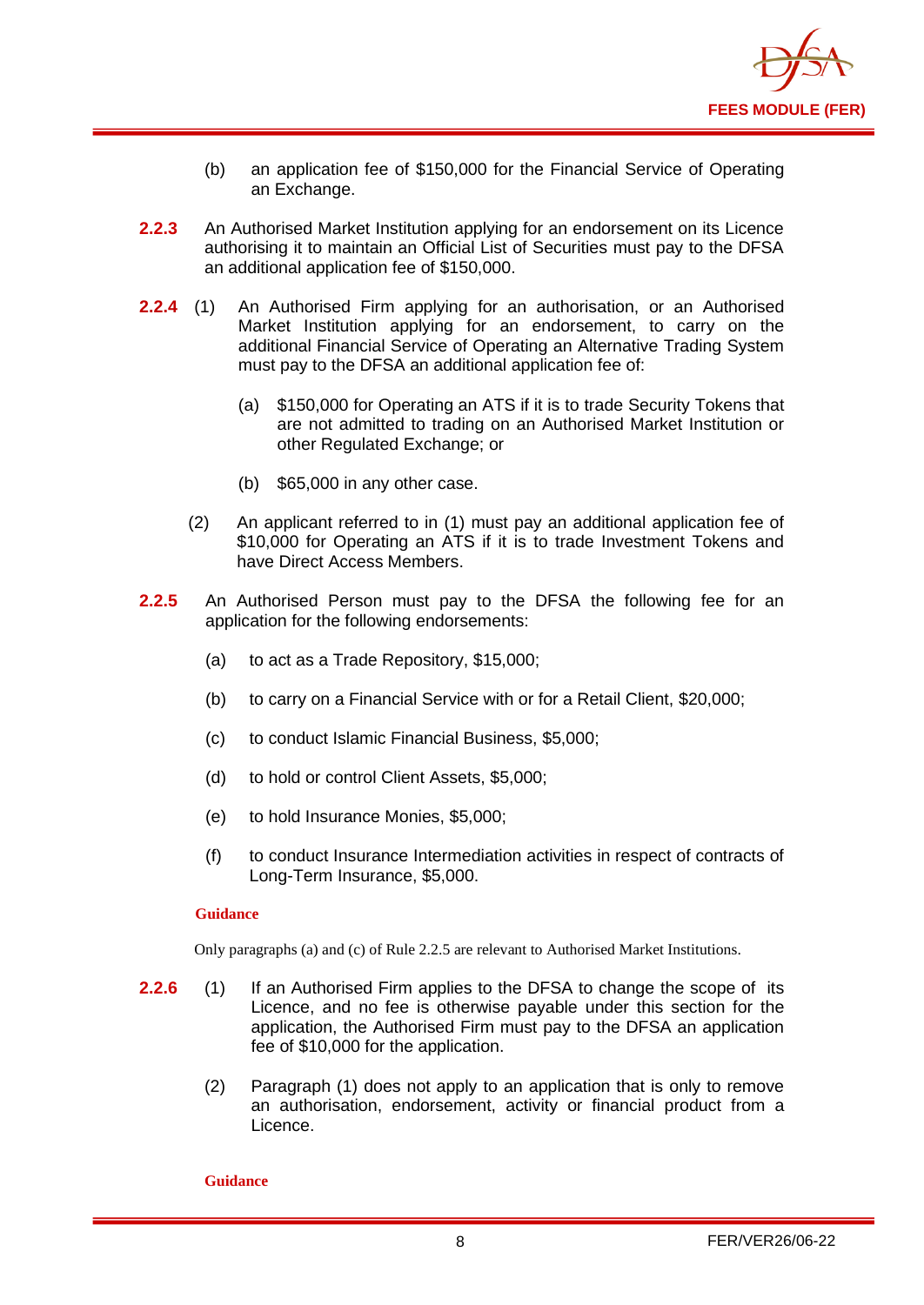

- (b) an application fee of \$150,000 for the Financial Service of Operating an Exchange.
- **2.2.3** An Authorised Market Institution applying for an endorsement on its Licence authorising it to maintain an Official List of Securities must pay to the DFSA an additional application fee of \$150,000.
- **2.2.4** (1) An Authorised Firm applying for an authorisation, or an Authorised Market Institution applying for an endorsement, to carry on the additional Financial Service of Operating an Alternative Trading System must pay to the DFSA an additional application fee of:
	- (a) \$150,000 for Operating an ATS if it is to trade Security Tokens that are not admitted to trading on an Authorised Market Institution or other Regulated Exchange; or
	- (b) \$65,000 in any other case.
	- (2) An applicant referred to in (1) must pay an additional application fee of \$10,000 for Operating an ATS if it is to trade Investment Tokens and have Direct Access Members.
- **2.2.5** An Authorised Person must pay to the DFSA the following fee for an application for the following endorsements:
	- (a) to act as a Trade Repository, \$15,000;
	- (b) to carry on a Financial Service with or for a Retail Client, \$20,000;
	- (c) to conduct Islamic Financial Business, \$5,000;
	- (d) to hold or control Client Assets, \$5,000;
	- (e) to hold Insurance Monies, \$5,000;
	- (f) to conduct Insurance Intermediation activities in respect of contracts of Long-Term Insurance, \$5,000.

#### **Guidance**

Only paragraphs (a) and (c) of Rule 2.2.5 are relevant to Authorised Market Institutions.

- **2.2.6** (1) If an Authorised Firm applies to the DFSA to change the scope of its Licence, and no fee is otherwise payable under this section for the application, the Authorised Firm must pay to the DFSA an application fee of \$10,000 for the application.
	- (2) Paragraph (1) does not apply to an application that is only to remove an authorisation, endorsement, activity or financial product from a Licence.

#### **Guidance**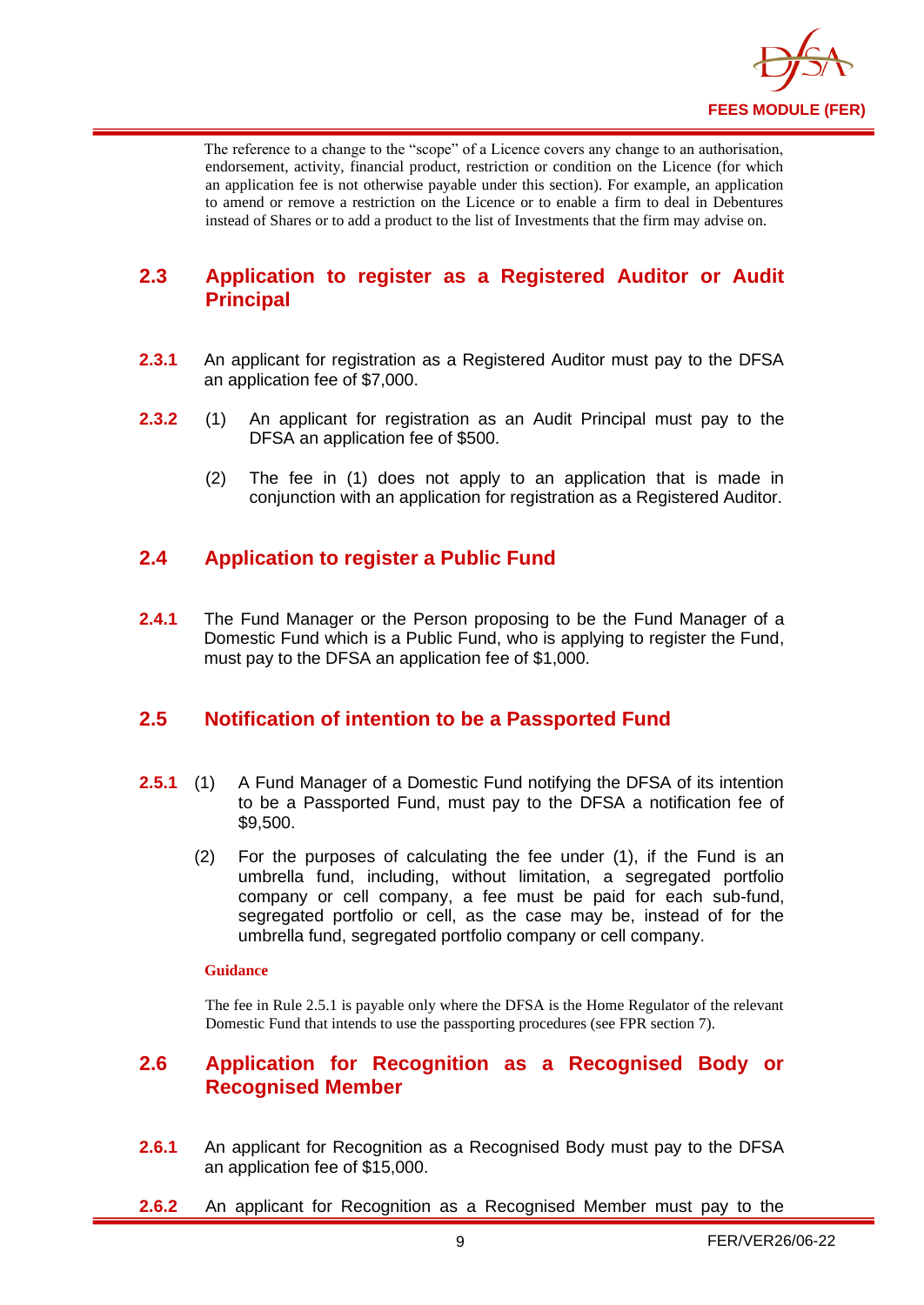

The reference to a change to the "scope" of a Licence covers any change to an authorisation, endorsement, activity, financial product, restriction or condition on the Licence (for which an application fee is not otherwise payable under this section). For example, an application to amend or remove a restriction on the Licence or to enable a firm to deal in Debentures instead of Shares or to add a product to the list of Investments that the firm may advise on.

## <span id="page-10-0"></span>**2.3 Application to register as a Registered Auditor or Audit Principal**

- **2.3.1** An applicant for registration as a Registered Auditor must pay to the DFSA an application fee of \$7,000.
- **2.3.2** (1) An applicant for registration as an Audit Principal must pay to the DFSA an application fee of \$500.
	- (2) The fee in (1) does not apply to an application that is made in conjunction with an application for registration as a Registered Auditor.

## <span id="page-10-1"></span>**2.4 Application to register a Public Fund**

**2.4.1** The Fund Manager or the Person proposing to be the Fund Manager of a Domestic Fund which is a Public Fund, who is applying to register the Fund, must pay to the DFSA an application fee of \$1,000.

## <span id="page-10-2"></span>**2.5 Notification of intention to be a Passported Fund**

- **2.5.1** (1) A Fund Manager of a Domestic Fund notifying the DFSA of its intention to be a Passported Fund, must pay to the DFSA a notification fee of \$9,500.
	- (2) For the purposes of calculating the fee under (1), if the Fund is an umbrella fund, including, without limitation, a segregated portfolio company or cell company, a fee must be paid for each sub-fund, segregated portfolio or cell, as the case may be, instead of for the umbrella fund, segregated portfolio company or cell company.

#### **Guidance**

The fee in Rule 2.5.1 is payable only where the DFSA is the Home Regulator of the relevant Domestic Fund that intends to use the passporting procedures (see FPR section 7).

## <span id="page-10-3"></span>**2.6 Application for Recognition as a Recognised Body or Recognised Member**

- **2.6.1** An applicant for Recognition as a Recognised Body must pay to the DFSA an application fee of \$15,000.
- **2.6.2** An applicant for Recognition as a Recognised Member must pay to the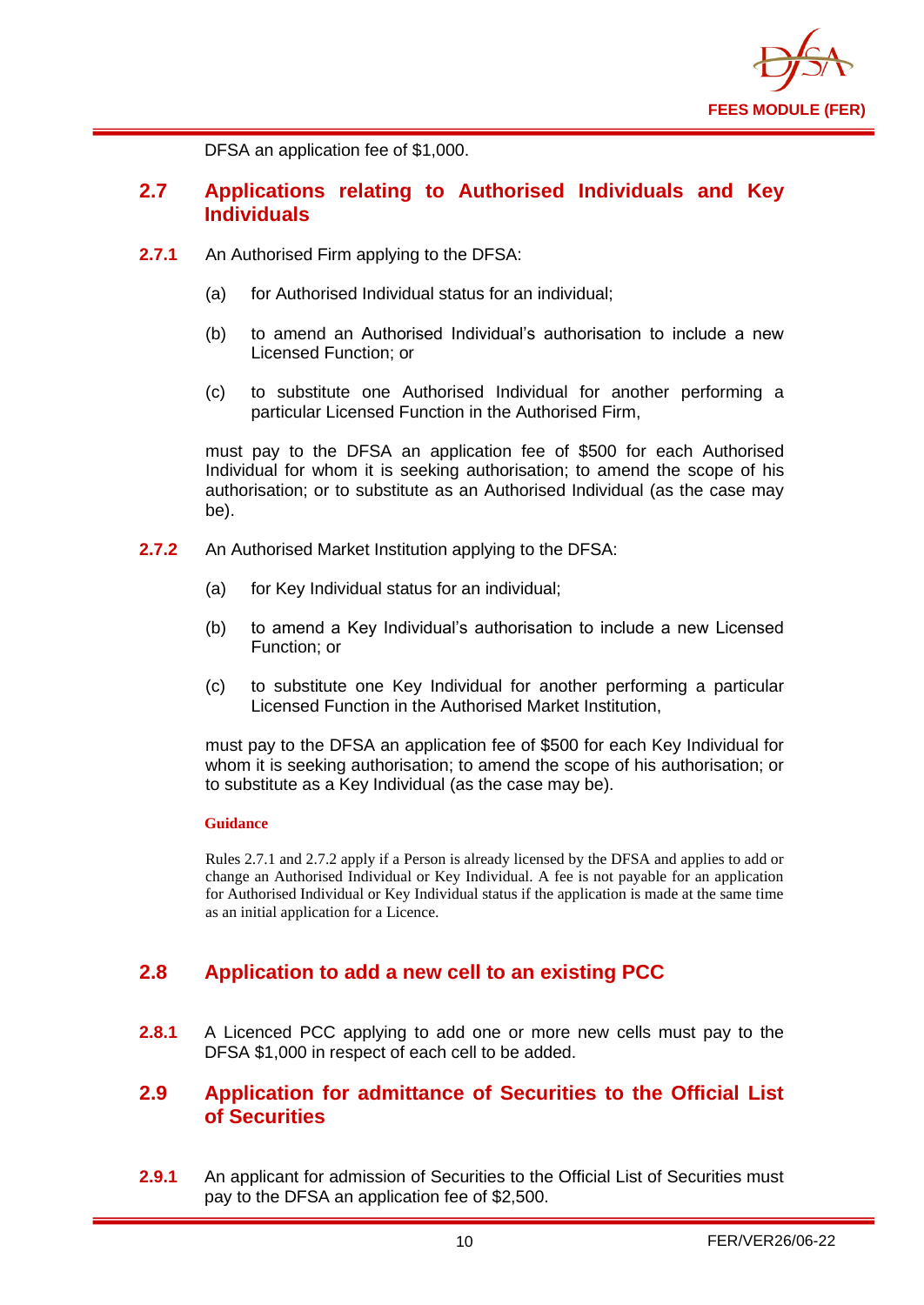

DFSA an application fee of \$1,000.

## <span id="page-11-0"></span>**2.7 Applications relating to Authorised Individuals and Key Individuals**

- **2.7.1** An Authorised Firm applying to the DFSA:
	- (a) for Authorised Individual status for an individual;
	- (b) to amend an Authorised Individual's authorisation to include a new Licensed Function; or
	- (c) to substitute one Authorised Individual for another performing a particular Licensed Function in the Authorised Firm,

must pay to the DFSA an application fee of \$500 for each Authorised Individual for whom it is seeking authorisation; to amend the scope of his authorisation; or to substitute as an Authorised Individual (as the case may be).

- **2.7.2** An Authorised Market Institution applying to the DFSA:
	- (a) for Key Individual status for an individual;
	- (b) to amend a Key Individual's authorisation to include a new Licensed Function; or
	- (c) to substitute one Key Individual for another performing a particular Licensed Function in the Authorised Market Institution,

must pay to the DFSA an application fee of \$500 for each Key Individual for whom it is seeking authorisation; to amend the scope of his authorisation; or to substitute as a Key Individual (as the case may be).

#### **Guidance**

Rules 2.7.1 and 2.7.2 apply if a Person is already licensed by the DFSA and applies to add or change an Authorised Individual or Key Individual. A fee is not payable for an application for Authorised Individual or Key Individual status if the application is made at the same time as an initial application for a Licence.

## <span id="page-11-1"></span>**2.8 Application to add a new cell to an existing PCC**

**2.8.1** A Licenced PCC applying to add one or more new cells must pay to the DFSA \$1,000 in respect of each cell to be added.

## <span id="page-11-2"></span>**2.9 Application for admittance of Securities to the Official List of Securities**

**2.9.1** An applicant for admission of Securities to the Official List of Securities must pay to the DFSA an application fee of \$2,500.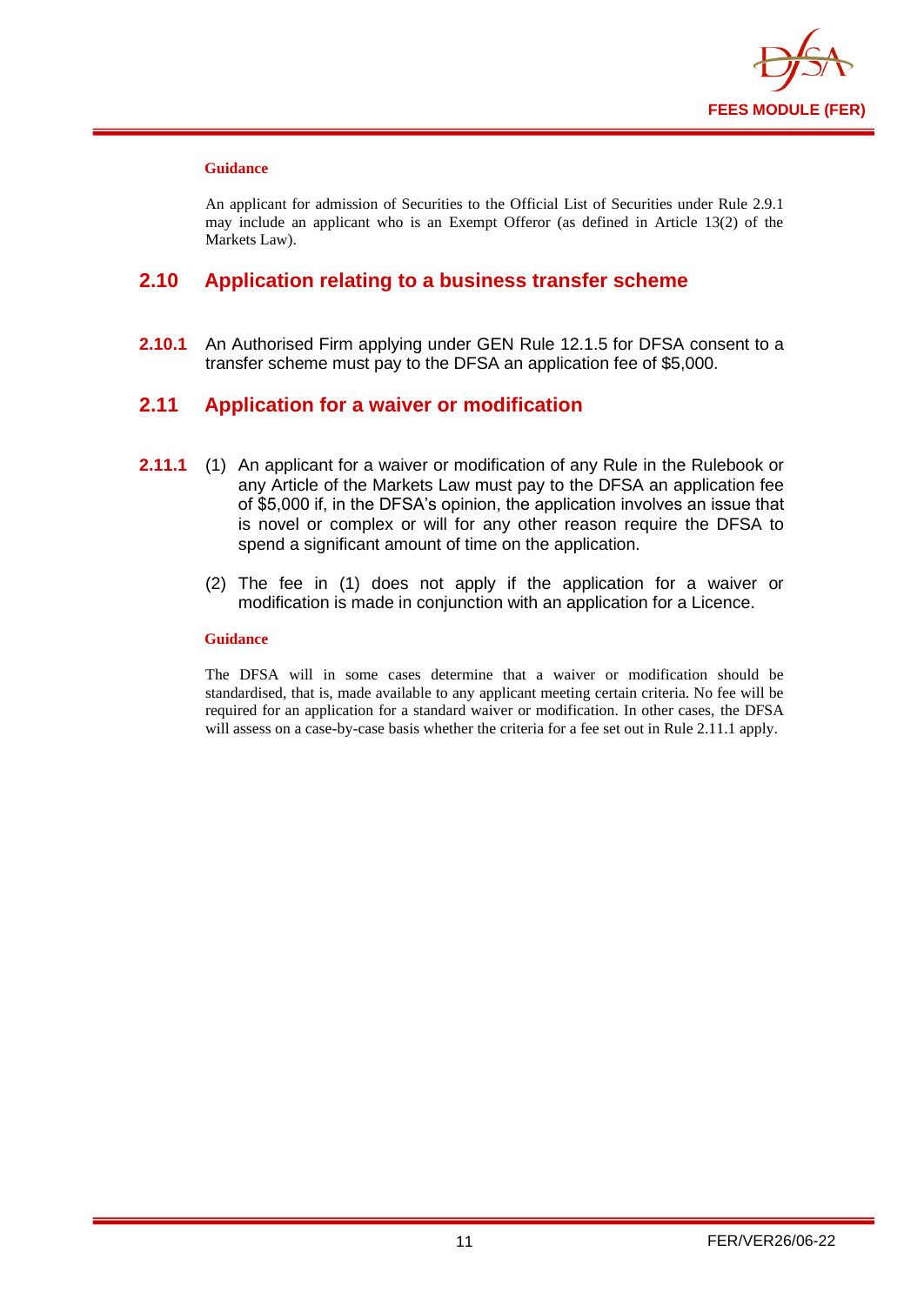

#### **Guidance**

An applicant for admission of Securities to the Official List of Securities under Rule 2.9.1 may include an applicant who is an Exempt Offeror (as defined in Article 13(2) of the Markets Law).

## <span id="page-12-0"></span>**2.10 Application relating to a business transfer scheme**

**2.10.1** An Authorised Firm applying under GEN Rule 12.1.5 for DFSA consent to a transfer scheme must pay to the DFSA an application fee of \$5,000.

## <span id="page-12-1"></span>**2.11 Application for a waiver or modification**

- **2.11.1** (1) An applicant for a waiver or modification of any Rule in the Rulebook or any Article of the Markets Law must pay to the DFSA an application fee of \$5,000 if, in the DFSA's opinion, the application involves an issue that is novel or complex or will for any other reason require the DFSA to spend a significant amount of time on the application.
	- (2) The fee in (1) does not apply if the application for a waiver or modification is made in conjunction with an application for a Licence.

#### **Guidance**

The DFSA will in some cases determine that a waiver or modification should be standardised, that is, made available to any applicant meeting certain criteria. No fee will be required for an application for a standard waiver or modification. In other cases, the DFSA will assess on a case-by-case basis whether the criteria for a fee set out in Rule 2.11.1 apply.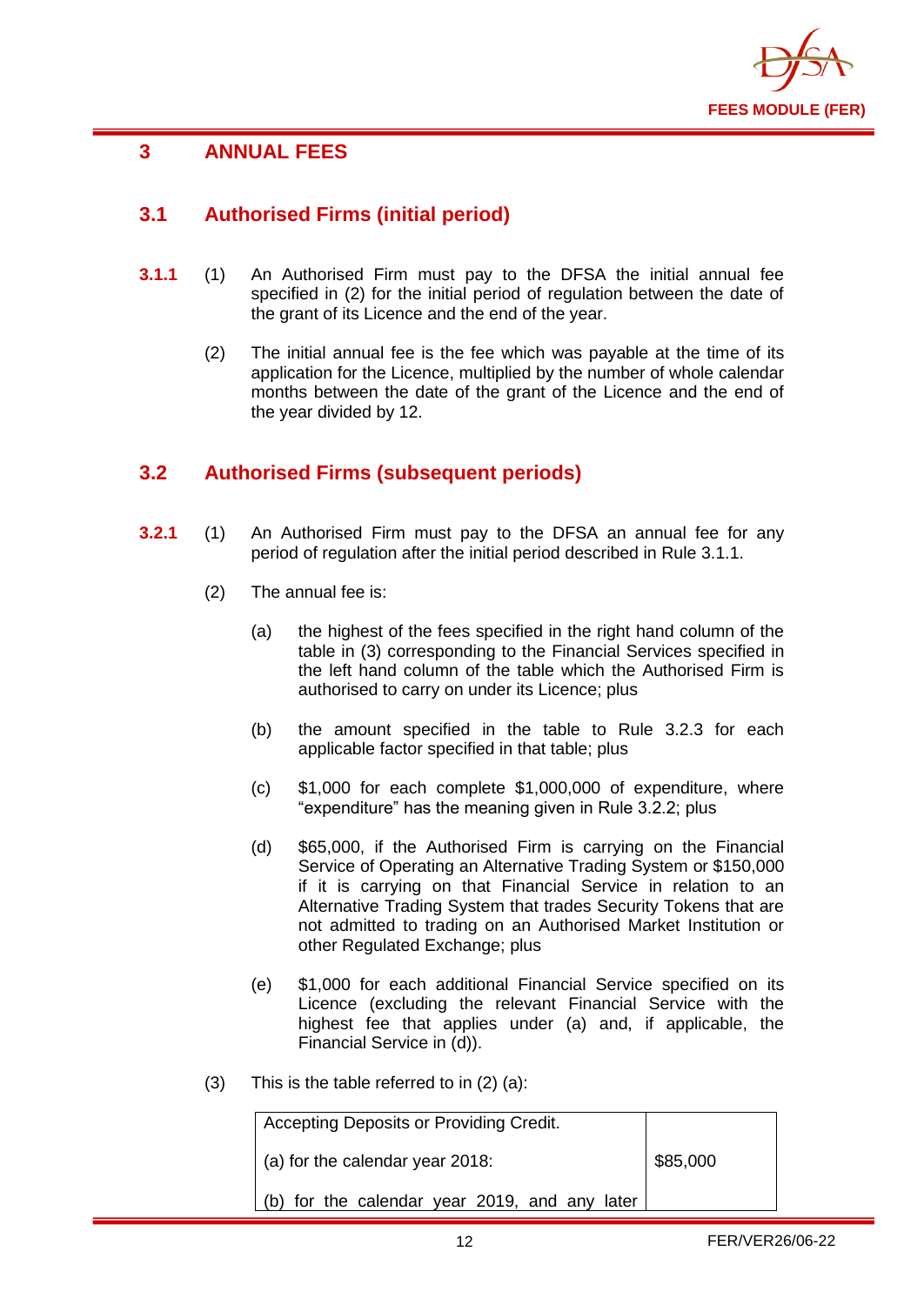

## <span id="page-13-0"></span>**3 ANNUAL FEES**

## <span id="page-13-1"></span>**3.1 Authorised Firms (initial period)**

- **3.1.1** (1) An Authorised Firm must pay to the DFSA the initial annual fee specified in (2) for the initial period of regulation between the date of the grant of its Licence and the end of the year.
	- (2) The initial annual fee is the fee which was payable at the time of its application for the Licence, multiplied by the number of whole calendar months between the date of the grant of the Licence and the end of the year divided by 12.

## <span id="page-13-2"></span>**3.2 Authorised Firms (subsequent periods)**

- **3.2.1** (1) An Authorised Firm must pay to the DFSA an annual fee for any period of regulation after the initial period described in Rule 3.1.1.
	- (2) The annual fee is:
		- (a) the highest of the fees specified in the right hand column of the table in (3) corresponding to the Financial Services specified in the left hand column of the table which the Authorised Firm is authorised to carry on under its Licence; plus
		- (b) the amount specified in the table to Rule 3.2.3 for each applicable factor specified in that table; plus
		- (c) \$1,000 for each complete \$1,000,000 of expenditure, where "expenditure" has the meaning given in Rule 3.2.2; plus
		- (d) \$65,000, if the Authorised Firm is carrying on the Financial Service of Operating an Alternative Trading System or \$150,000 if it is carrying on that Financial Service in relation to an Alternative Trading System that trades Security Tokens that are not admitted to trading on an Authorised Market Institution or other Regulated Exchange; plus
		- (e) \$1,000 for each additional Financial Service specified on its Licence (excluding the relevant Financial Service with the highest fee that applies under (a) and, if applicable, the Financial Service in (d)).
	- (3) This is the table referred to in (2) (a):

| Accepting Deposits or Providing Credit. |  |
|-----------------------------------------|--|
|                                         |  |

(a) for the calendar year 2018:

\$85,000

(b) for the calendar year 2019, and any later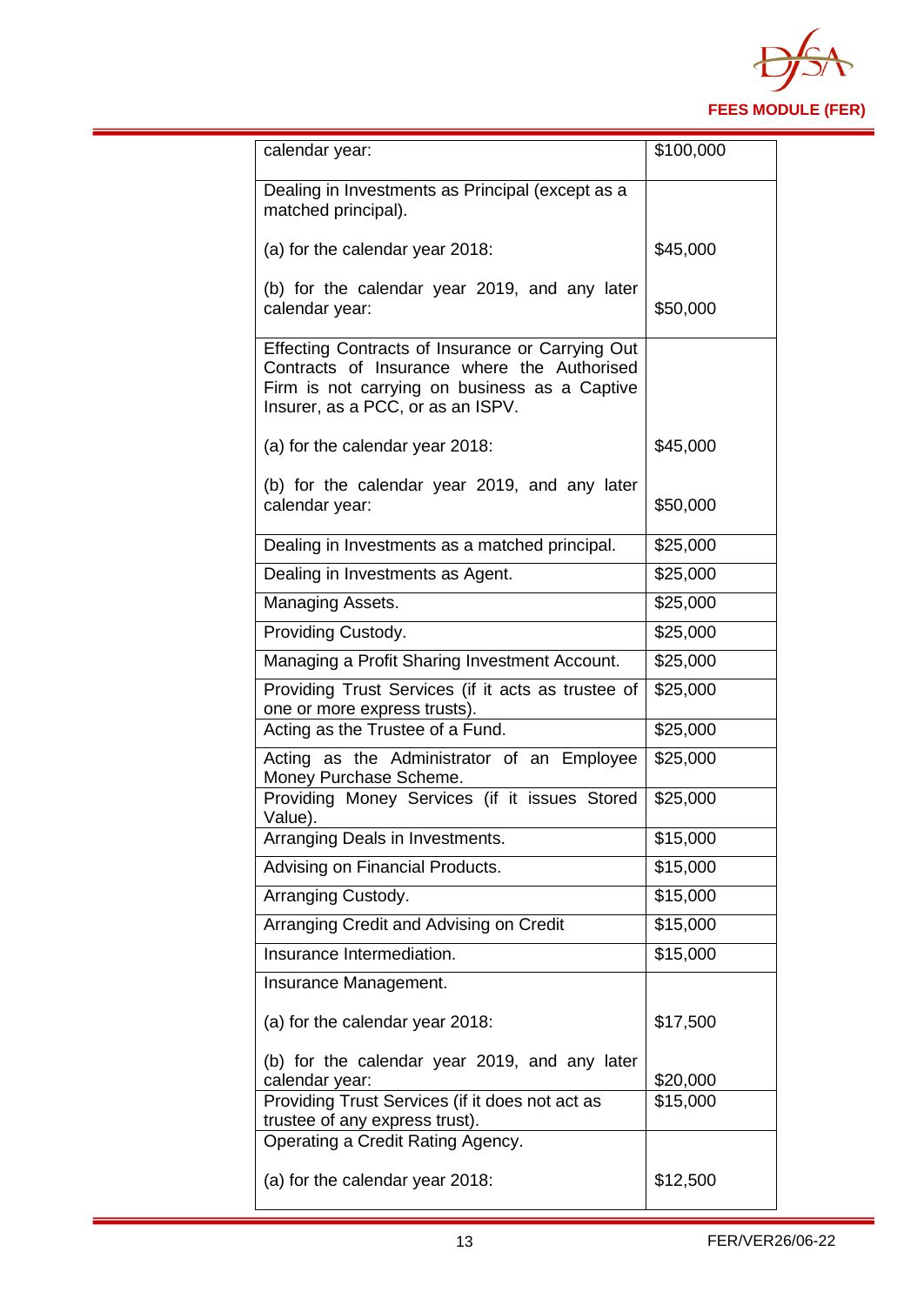

| calendar year:                                                                                                                                                                        | \$100,000 |
|---------------------------------------------------------------------------------------------------------------------------------------------------------------------------------------|-----------|
| Dealing in Investments as Principal (except as a<br>matched principal).                                                                                                               |           |
| (a) for the calendar year 2018:                                                                                                                                                       | \$45,000  |
| (b) for the calendar year 2019, and any later<br>calendar year:                                                                                                                       | \$50,000  |
| Effecting Contracts of Insurance or Carrying Out<br>Contracts of Insurance where the Authorised<br>Firm is not carrying on business as a Captive<br>Insurer, as a PCC, or as an ISPV. |           |
| (a) for the calendar year 2018:                                                                                                                                                       | \$45,000  |
| (b) for the calendar year 2019, and any later<br>calendar year:                                                                                                                       | \$50,000  |
| Dealing in Investments as a matched principal.                                                                                                                                        | \$25,000  |
| Dealing in Investments as Agent.                                                                                                                                                      | \$25,000  |
| Managing Assets.                                                                                                                                                                      | \$25,000  |
| Providing Custody.                                                                                                                                                                    | \$25,000  |
| Managing a Profit Sharing Investment Account.                                                                                                                                         | \$25,000  |
| Providing Trust Services (if it acts as trustee of<br>one or more express trusts).                                                                                                    | \$25,000  |
| Acting as the Trustee of a Fund.                                                                                                                                                      | \$25,000  |
| Acting as the Administrator of an Employee<br>Money Purchase Scheme.                                                                                                                  | \$25,000  |
| Providing Money Services (if it issues Stored<br>Value).                                                                                                                              | \$25,000  |
| Arranging Deals in Investments.                                                                                                                                                       | \$15,000  |
| Advising on Financial Products.                                                                                                                                                       | \$15,000  |
| Arranging Custody.                                                                                                                                                                    | \$15,000  |
| Arranging Credit and Advising on Credit                                                                                                                                               | \$15,000  |
| Insurance Intermediation.                                                                                                                                                             | \$15,000  |
| Insurance Management.                                                                                                                                                                 |           |
| (a) for the calendar year 2018:                                                                                                                                                       | \$17,500  |
| (b) for the calendar year 2019, and any later<br>calendar year:                                                                                                                       | \$20,000  |
| Providing Trust Services (if it does not act as                                                                                                                                       | \$15,000  |
| trustee of any express trust).<br>Operating a Credit Rating Agency.                                                                                                                   |           |
| (a) for the calendar year 2018:                                                                                                                                                       | \$12,500  |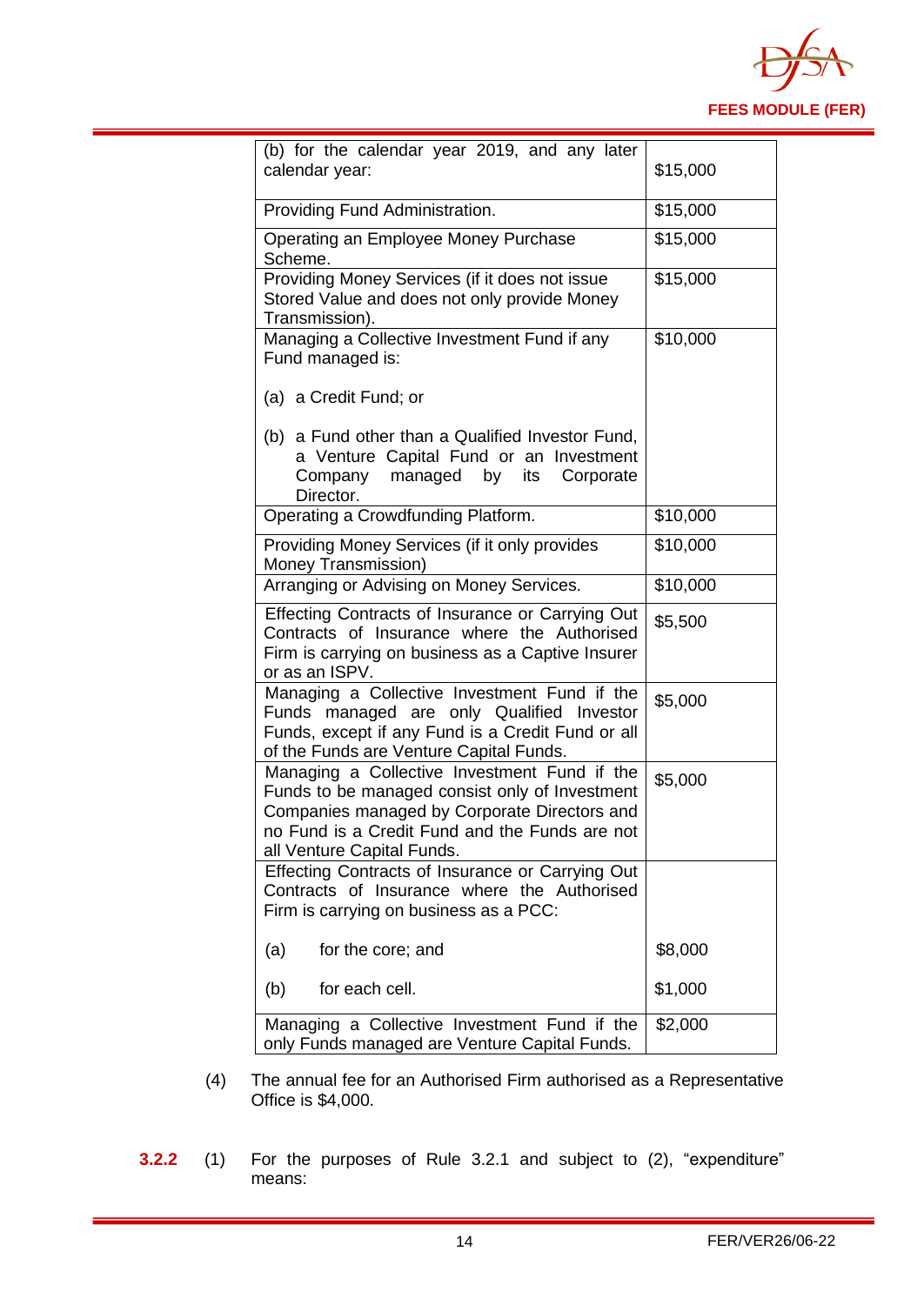

| (b) for the calendar year 2019, and any later<br>calendar year:                                                                                                                                                                | \$15,000 |
|--------------------------------------------------------------------------------------------------------------------------------------------------------------------------------------------------------------------------------|----------|
| Providing Fund Administration.                                                                                                                                                                                                 | \$15,000 |
| Operating an Employee Money Purchase<br>Scheme.                                                                                                                                                                                | \$15,000 |
| Providing Money Services (if it does not issue<br>Stored Value and does not only provide Money<br>Transmission).                                                                                                               | \$15,000 |
| Managing a Collective Investment Fund if any<br>Fund managed is:                                                                                                                                                               | \$10,000 |
| (a) a Credit Fund; or                                                                                                                                                                                                          |          |
| (b) a Fund other than a Qualified Investor Fund,<br>a Venture Capital Fund or an Investment<br>Company managed by<br>its<br>Corporate<br>Director.                                                                             |          |
| Operating a Crowdfunding Platform.                                                                                                                                                                                             | \$10,000 |
| Providing Money Services (if it only provides<br>Money Transmission)                                                                                                                                                           | \$10,000 |
| Arranging or Advising on Money Services.                                                                                                                                                                                       | \$10,000 |
| Effecting Contracts of Insurance or Carrying Out<br>Contracts of Insurance where the Authorised<br>Firm is carrying on business as a Captive Insurer<br>or as an ISPV.                                                         | \$5,500  |
| Managing a Collective Investment Fund if the<br>Funds managed are only Qualified Investor<br>Funds, except if any Fund is a Credit Fund or all<br>of the Funds are Venture Capital Funds.                                      | \$5,000  |
| Managing a Collective Investment Fund if the<br>Funds to be managed consist only of Investment<br>Companies managed by Corporate Directors and<br>no Fund is a Credit Fund and the Funds are not<br>all Venture Capital Funds. | \$5,000  |
| Effecting Contracts of Insurance or Carrying Out<br>Contracts of Insurance where the Authorised<br>Firm is carrying on business as a PCC:                                                                                      |          |
| (a)<br>for the core; and                                                                                                                                                                                                       | \$8,000  |
| for each cell.<br>(b)                                                                                                                                                                                                          | \$1,000  |
| Managing a Collective Investment Fund if the<br>only Funds managed are Venture Capital Funds.                                                                                                                                  | \$2,000  |

- (4) The annual fee for an Authorised Firm authorised as a Representative Office is \$4,000.
- **3.2.2** (1) For the purposes of Rule 3.2.1 and subject to (2), "expenditure" means: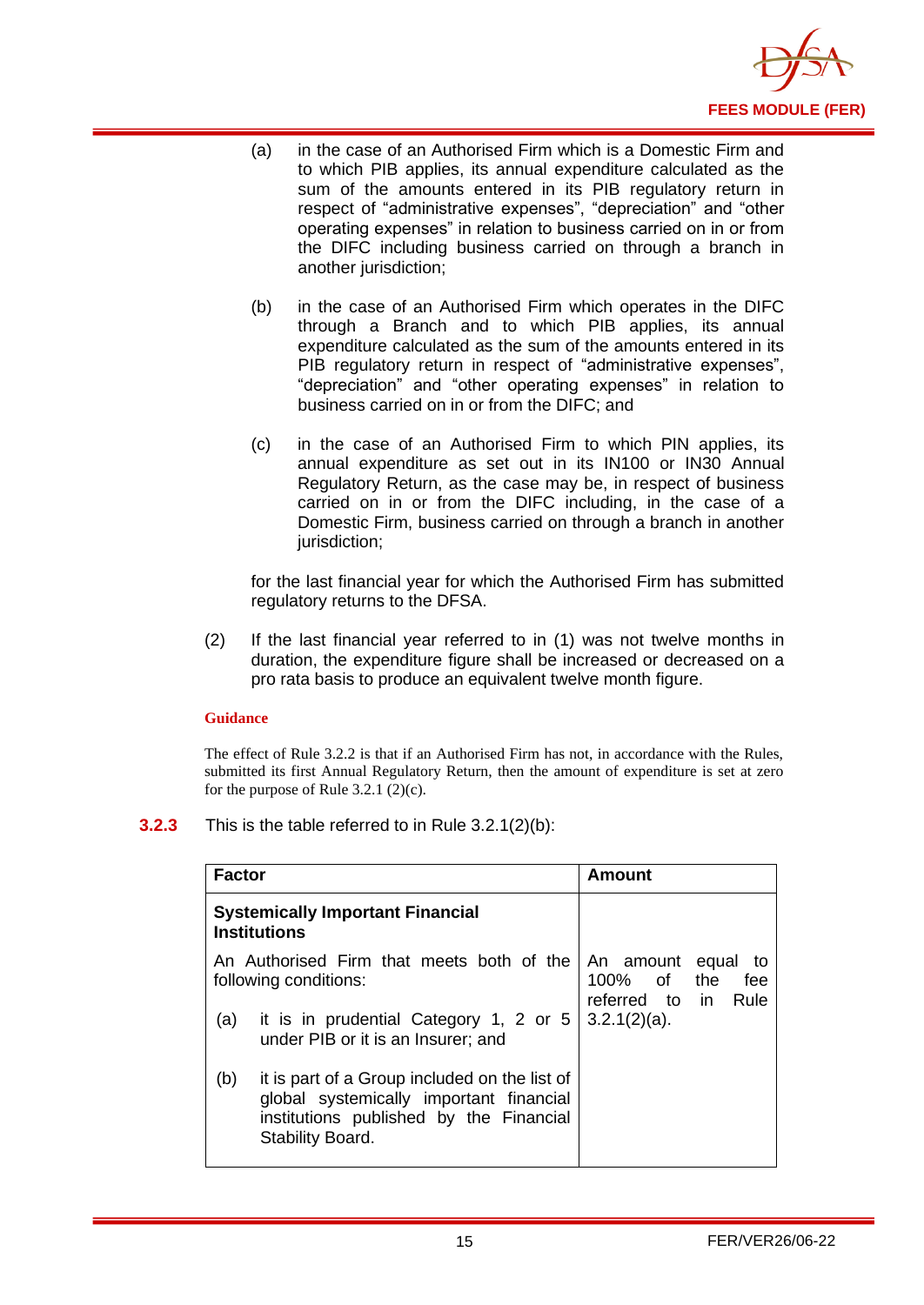

- (a) in the case of an Authorised Firm which is a Domestic Firm and to which PIB applies, its annual expenditure calculated as the sum of the amounts entered in its PIB regulatory return in respect of "administrative expenses", "depreciation" and "other operating expenses" in relation to business carried on in or from the DIFC including business carried on through a branch in another jurisdiction;
- (b) in the case of an Authorised Firm which operates in the DIFC through a Branch and to which PIB applies, its annual expenditure calculated as the sum of the amounts entered in its PIB regulatory return in respect of "administrative expenses", "depreciation" and "other operating expenses" in relation to business carried on in or from the DIFC; and
- (c) in the case of an Authorised Firm to which PIN applies, its annual expenditure as set out in its IN100 or IN30 Annual Regulatory Return, as the case may be, in respect of business carried on in or from the DIFC including, in the case of a Domestic Firm, business carried on through a branch in another jurisdiction:

for the last financial year for which the Authorised Firm has submitted regulatory returns to the DFSA.

(2) If the last financial year referred to in (1) was not twelve months in duration, the expenditure figure shall be increased or decreased on a pro rata basis to produce an equivalent twelve month figure.

#### **Guidance**

The effect of Rule 3.2.2 is that if an Authorised Firm has not, in accordance with the Rules, submitted its first Annual Regulatory Return, then the amount of expenditure is set at zero for the purpose of Rule  $3.2.1$  (2)(c).

**3.2.3** This is the table referred to in Rule 3.2.1(2)(b):

| <b>Factor</b>                                                  |                                                                                                                                                         | Amount                                                                      |
|----------------------------------------------------------------|---------------------------------------------------------------------------------------------------------------------------------------------------------|-----------------------------------------------------------------------------|
| <b>Systemically Important Financial</b><br><b>Institutions</b> |                                                                                                                                                         |                                                                             |
|                                                                | An Authorised Firm that meets both of the<br>following conditions:                                                                                      | An amount<br>equal<br>to<br>100% of<br>the<br>fee<br>referred to in<br>Rule |
| (a)                                                            | it is in prudential Category 1, 2 or 5<br>under PIB or it is an Insurer; and                                                                            | $3.2.1(2)(a)$ .                                                             |
| (b)                                                            | it is part of a Group included on the list of<br>global systemically important financial<br>institutions published by the Financial<br>Stability Board. |                                                                             |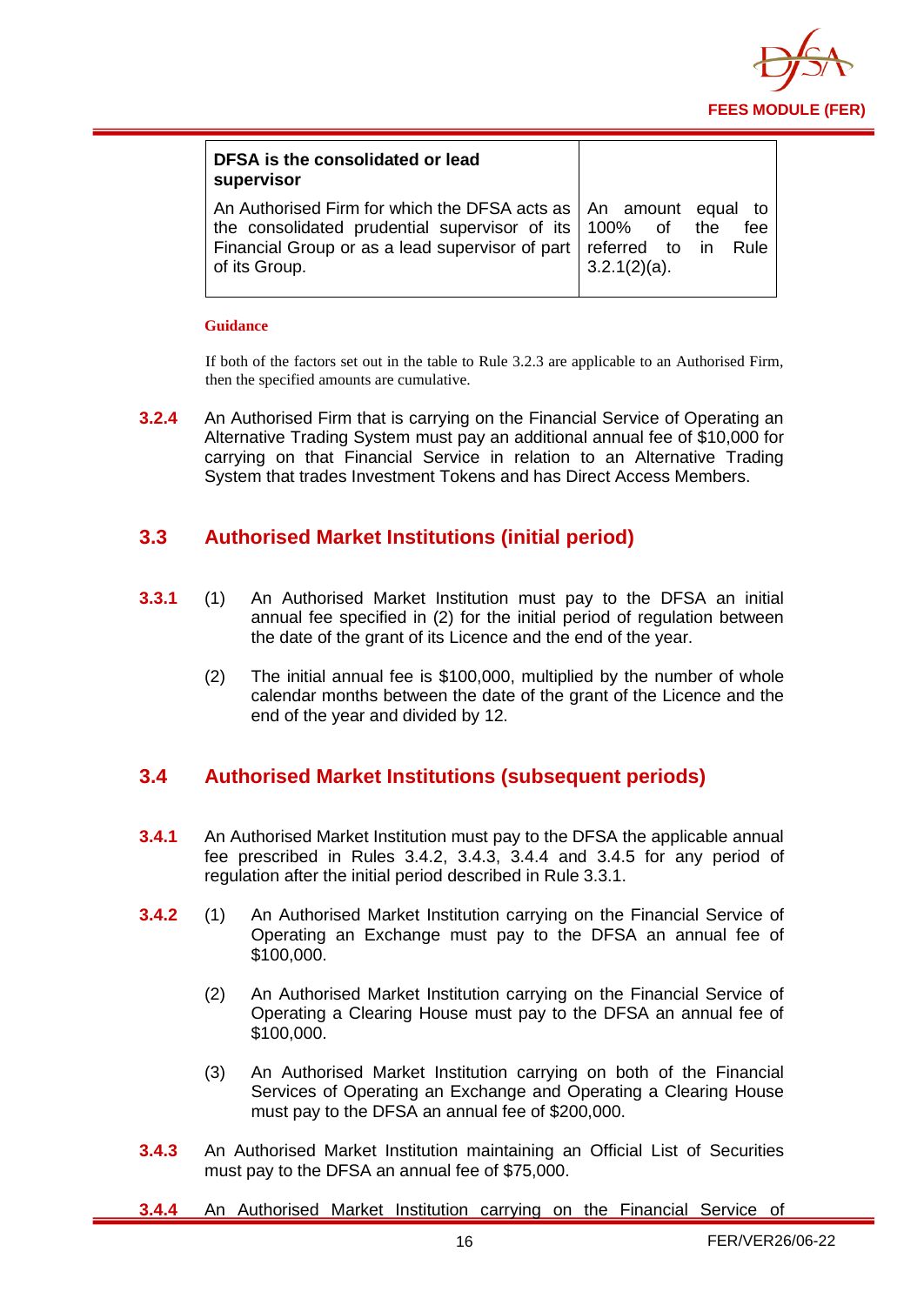

| DFSA is the consolidated or lead<br>supervisor                                                                                                                                                                            |                        |
|---------------------------------------------------------------------------------------------------------------------------------------------------------------------------------------------------------------------------|------------------------|
| An Authorised Firm for which the DFSA acts as   An amount equal to<br>the consolidated prudential supervisor of its 100% of the<br>Financial Group or as a lead supervisor of part   referred to in Rule<br>of its Group. | fee<br>$3.2.1(2)(a)$ . |

#### **Guidance**

If both of the factors set out in the table to Rule 3.2.3 are applicable to an Authorised Firm, then the specified amounts are cumulative.

**3.2.4** An Authorised Firm that is carrying on the Financial Service of Operating an Alternative Trading System must pay an additional annual fee of \$10,000 for carrying on that Financial Service in relation to an Alternative Trading System that trades Investment Tokens and has Direct Access Members.

## <span id="page-17-0"></span>**3.3 Authorised Market Institutions (initial period)**

- **3.3.1** (1) An Authorised Market Institution must pay to the DFSA an initial annual fee specified in (2) for the initial period of regulation between the date of the grant of its Licence and the end of the year.
	- (2) The initial annual fee is \$100,000, multiplied by the number of whole calendar months between the date of the grant of the Licence and the end of the year and divided by 12.

## <span id="page-17-1"></span>**3.4 Authorised Market Institutions (subsequent periods)**

- **3.4.1** An Authorised Market Institution must pay to the DFSA the applicable annual fee prescribed in Rules 3.4.2, 3.4.3, 3.4.4 and 3.4.5 for any period of regulation after the initial period described in Rule 3.3.1.
- **3.4.2** (1) An Authorised Market Institution carrying on the Financial Service of Operating an Exchange must pay to the DFSA an annual fee of \$100,000.
	- (2) An Authorised Market Institution carrying on the Financial Service of Operating a Clearing House must pay to the DFSA an annual fee of \$100,000.
	- (3) An Authorised Market Institution carrying on both of the Financial Services of Operating an Exchange and Operating a Clearing House must pay to the DFSA an annual fee of \$200,000.
- **3.4.3** An Authorised Market Institution maintaining an Official List of Securities must pay to the DFSA an annual fee of \$75,000.
- **3.4.4** An Authorised Market Institution carrying on the Financial Service of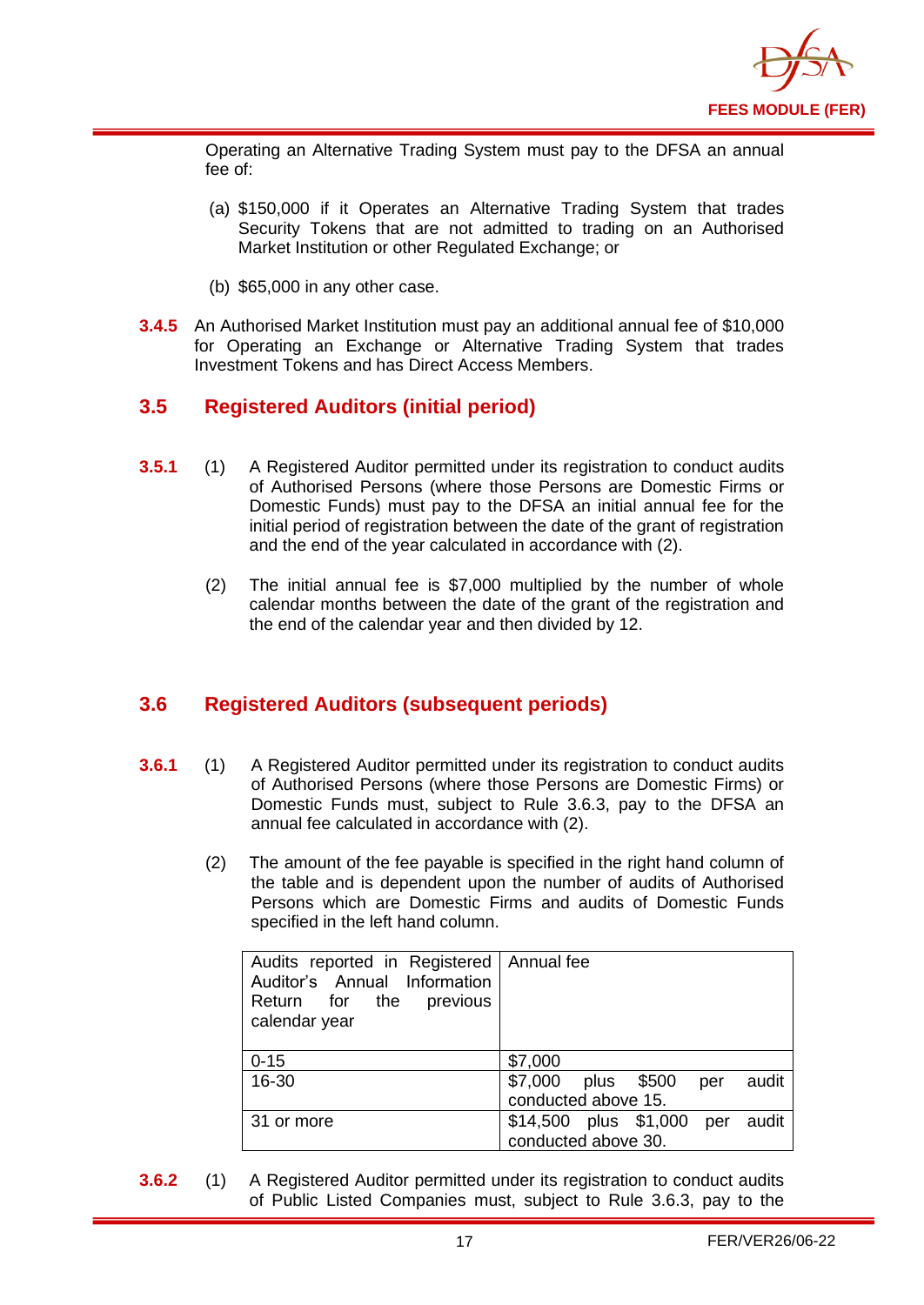

Operating an Alternative Trading System must pay to the DFSA an annual fee of:

- (a) \$150,000 if it Operates an Alternative Trading System that trades Security Tokens that are not admitted to trading on an Authorised Market Institution or other Regulated Exchange; or
- (b) \$65,000 in any other case.
- **3.4.5** An Authorised Market Institution must pay an additional annual fee of \$10,000 for Operating an Exchange or Alternative Trading System that trades Investment Tokens and has Direct Access Members.

## <span id="page-18-0"></span>**3.5 Registered Auditors (initial period)**

- **3.5.1** (1) A Registered Auditor permitted under its registration to conduct audits of Authorised Persons (where those Persons are Domestic Firms or Domestic Funds) must pay to the DFSA an initial annual fee for the initial period of registration between the date of the grant of registration and the end of the year calculated in accordance with (2).
	- (2) The initial annual fee is \$7,000 multiplied by the number of whole calendar months between the date of the grant of the registration and the end of the calendar year and then divided by 12.

## <span id="page-18-1"></span>**3.6 Registered Auditors (subsequent periods)**

- **3.6.1** (1) A Registered Auditor permitted under its registration to conduct audits of Authorised Persons (where those Persons are Domestic Firms) or Domestic Funds must, subject to Rule 3.6.3, pay to the DFSA an annual fee calculated in accordance with (2).
	- (2) The amount of the fee payable is specified in the right hand column of the table and is dependent upon the number of audits of Authorised Persons which are Domestic Firms and audits of Domestic Funds specified in the left hand column.

| Audits reported in Registered   Annual fee<br>Auditor's Annual Information<br>Return for the<br>previous<br>calendar year |                                       |  |  |
|---------------------------------------------------------------------------------------------------------------------------|---------------------------------------|--|--|
| $0 - 15$                                                                                                                  | \$7,000                               |  |  |
| 16-30                                                                                                                     | \$7,000<br>plus \$500<br>audit<br>per |  |  |
|                                                                                                                           | conducted above 15.                   |  |  |
| 31 or more                                                                                                                | \$14,500 plus \$1,000 per<br>audit    |  |  |
|                                                                                                                           | conducted above 30.                   |  |  |

**3.6.2** (1) A Registered Auditor permitted under its registration to conduct audits of Public Listed Companies must, subject to Rule 3.6.3, pay to the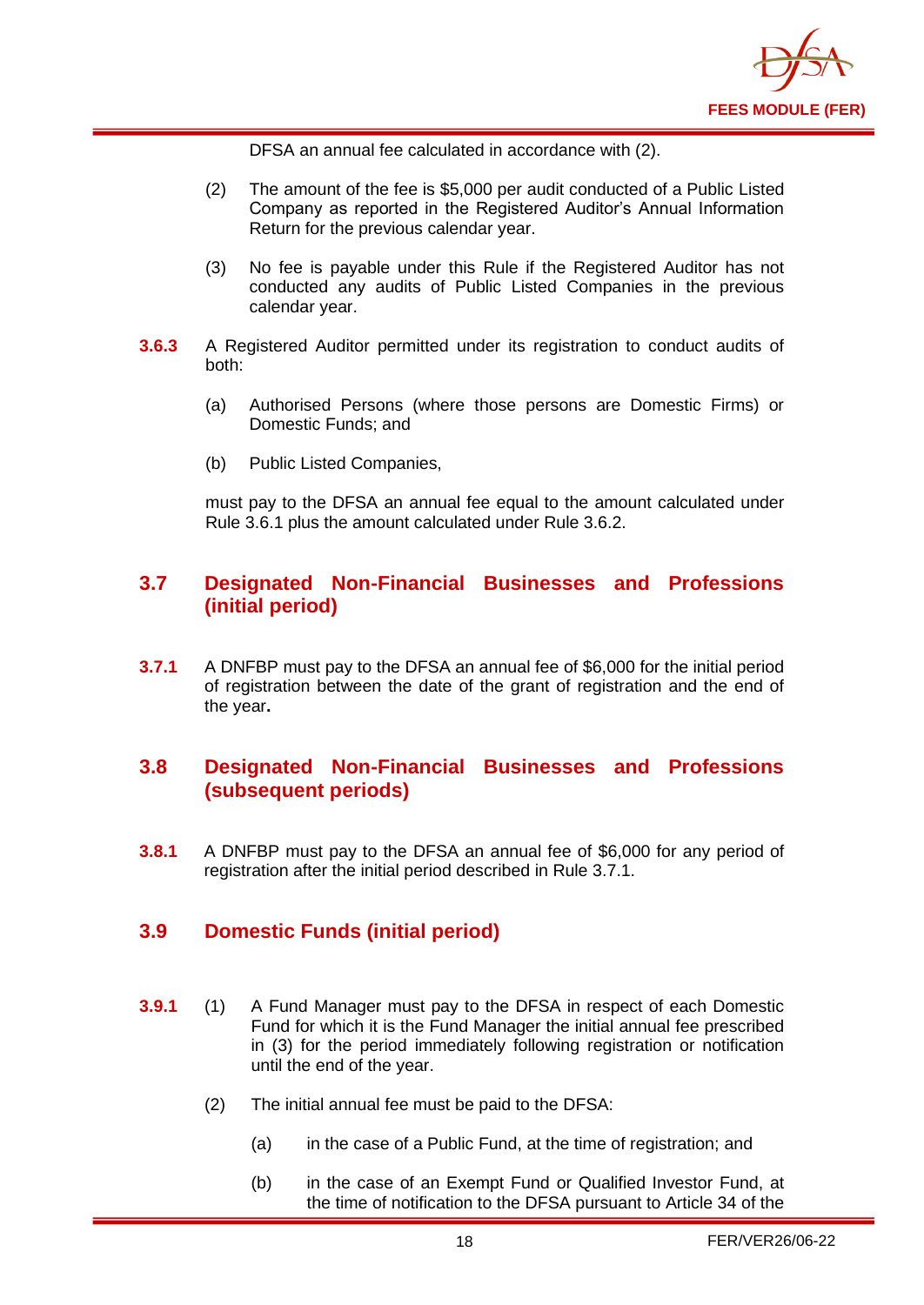

DFSA an annual fee calculated in accordance with (2).

- (2) The amount of the fee is \$5,000 per audit conducted of a Public Listed Company as reported in the Registered Auditor's Annual Information Return for the previous calendar year.
- (3) No fee is payable under this Rule if the Registered Auditor has not conducted any audits of Public Listed Companies in the previous calendar year.
- **3.6.3** A Registered Auditor permitted under its registration to conduct audits of both:
	- (a) Authorised Persons (where those persons are Domestic Firms) or Domestic Funds; and
	- (b) Public Listed Companies,

must pay to the DFSA an annual fee equal to the amount calculated under Rule 3.6.1 plus the amount calculated under Rule 3.6.2.

## <span id="page-19-0"></span>**3.7 Designated Non-Financial Businesses and Professions (initial period)**

**3.7.1** A DNFBP must pay to the DFSA an annual fee of \$6,000 for the initial period of registration between the date of the grant of registration and the end of the year**.** 

## <span id="page-19-1"></span>**3.8 Designated Non-Financial Businesses and Professions (subsequent periods)**

**3.8.1** A DNFBP must pay to the DFSA an annual fee of \$6,000 for any period of registration after the initial period described in Rule 3.7.1.

## <span id="page-19-2"></span>**3.9 Domestic Funds (initial period)**

- **3.9.1** (1) A Fund Manager must pay to the DFSA in respect of each Domestic Fund for which it is the Fund Manager the initial annual fee prescribed in (3) for the period immediately following registration or notification until the end of the year.
	- (2) The initial annual fee must be paid to the DFSA:
		- (a) in the case of a Public Fund, at the time of registration; and
		- (b) in the case of an Exempt Fund or Qualified Investor Fund, at the time of notification to the DFSA pursuant to Article 34 of the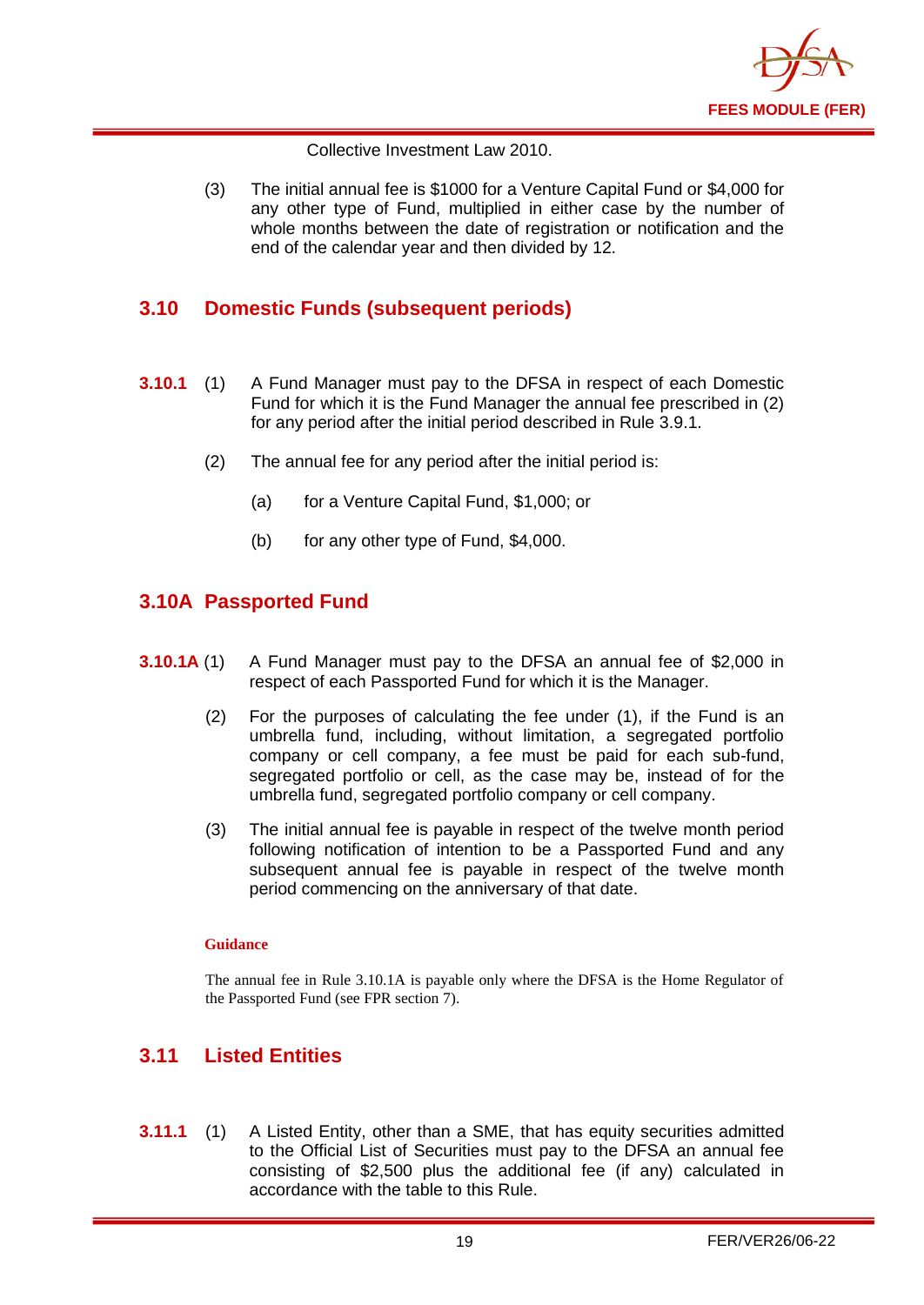

Collective Investment Law 2010.

(3) The initial annual fee is \$1000 for a Venture Capital Fund or \$4,000 for any other type of Fund, multiplied in either case by the number of whole months between the date of registration or notification and the end of the calendar year and then divided by 12.

## <span id="page-20-0"></span>**3.10 Domestic Funds (subsequent periods)**

- **3.10.1** (1) A Fund Manager must pay to the DFSA in respect of each Domestic Fund for which it is the Fund Manager the annual fee prescribed in (2) for any period after the initial period described in Rule 3.9.1.
	- (2) The annual fee for any period after the initial period is:
		- (a) for a Venture Capital Fund, \$1,000; or
		- (b) for any other type of Fund, \$4,000.

## <span id="page-20-1"></span>**3.10A Passported Fund**

- **3.10.1A** (1) A Fund Manager must pay to the DFSA an annual fee of \$2,000 in respect of each Passported Fund for which it is the Manager.
	- (2) For the purposes of calculating the fee under (1), if the Fund is an umbrella fund, including, without limitation, a segregated portfolio company or cell company, a fee must be paid for each sub-fund, segregated portfolio or cell, as the case may be, instead of for the umbrella fund, segregated portfolio company or cell company.
	- (3) The initial annual fee is payable in respect of the twelve month period following notification of intention to be a Passported Fund and any subsequent annual fee is payable in respect of the twelve month period commencing on the anniversary of that date.

#### **Guidance**

The annual fee in Rule 3.10.1A is payable only where the DFSA is the Home Regulator of the Passported Fund (see FPR section 7).

## <span id="page-20-2"></span>**3.11 Listed Entities**

**3.11.1** (1) A Listed Entity, other than a SME, that has equity securities admitted to the Official List of Securities must pay to the DFSA an annual fee consisting of \$2,500 plus the additional fee (if any) calculated in accordance with the table to this Rule.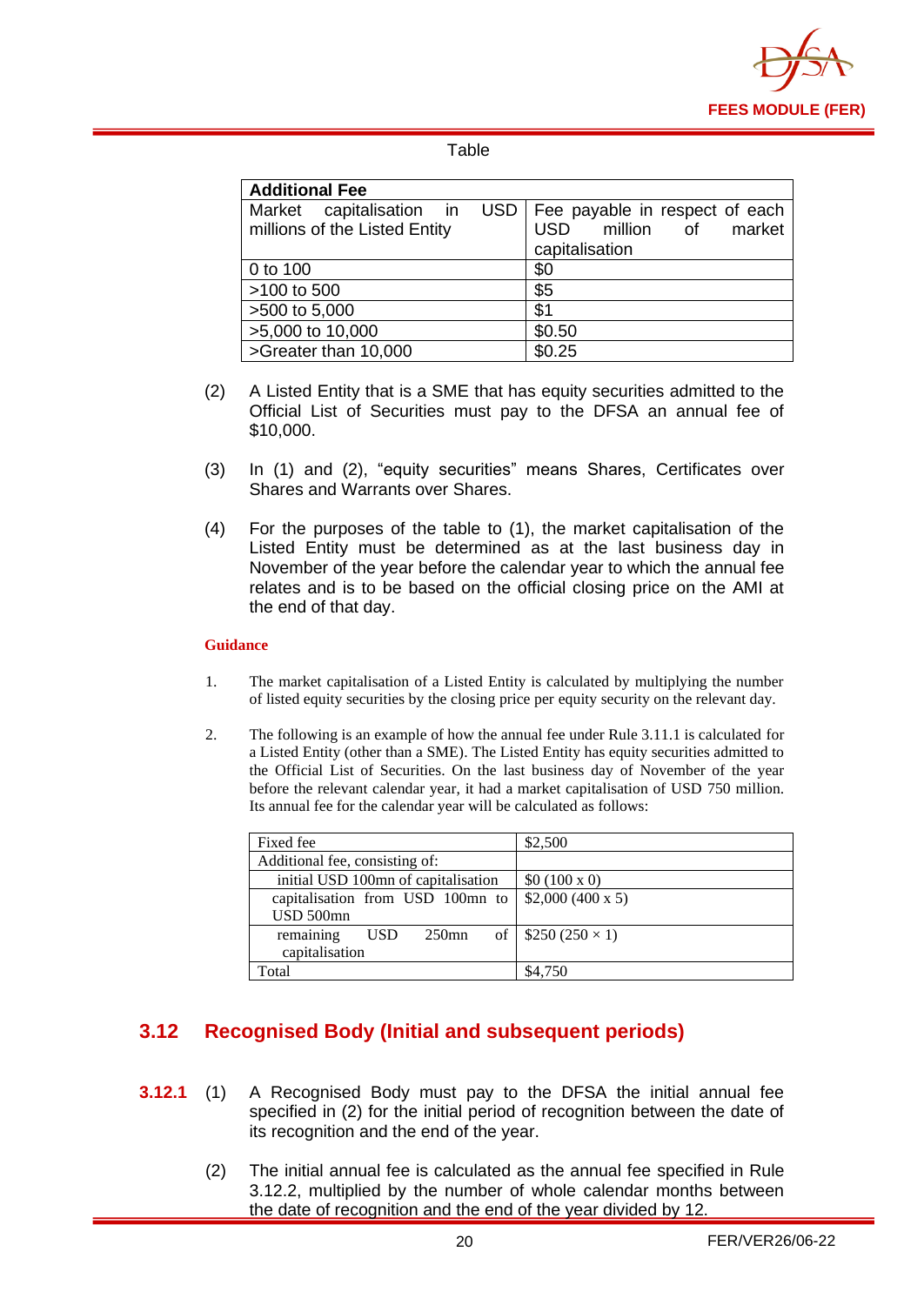

## Table

| <b>Additional Fee</b>         |                                      |  |  |
|-------------------------------|--------------------------------------|--|--|
| Market capitalisation in      | USD   Fee payable in respect of each |  |  |
| millions of the Listed Entity | USD million of market                |  |  |
|                               | capitalisation                       |  |  |
| 0 to 100                      | \$0                                  |  |  |
| >100 to 500                   | \$5                                  |  |  |
| >500 to 5,000                 | \$1                                  |  |  |
| >5,000 to 10,000              | \$0.50                               |  |  |
| >Greater than 10,000          | \$0.25                               |  |  |

- (2) A Listed Entity that is a SME that has equity securities admitted to the Official List of Securities must pay to the DFSA an annual fee of \$10,000.
- (3) In (1) and (2), "equity securities" means Shares, Certificates over Shares and Warrants over Shares.
- (4) For the purposes of the table to (1), the market capitalisation of the Listed Entity must be determined as at the last business day in November of the year before the calendar year to which the annual fee relates and is to be based on the official closing price on the AMI at the end of that day.

#### **Guidance**

- 1. The market capitalisation of a Listed Entity is calculated by multiplying the number of listed equity securities by the closing price per equity security on the relevant day.
- 2. The following is an example of how the annual fee under Rule 3.11.1 is calculated for a Listed Entity (other than a SME). The Listed Entity has equity securities admitted to the Official List of Securities. On the last business day of November of the year before the relevant calendar year, it had a market capitalisation of USD 750 million. Its annual fee for the calendar year will be calculated as follows:

| Fixed fee                           | \$2,500                    |
|-------------------------------------|----------------------------|
| Additional fee, consisting of:      |                            |
| initial USD 100mn of capitalisation | \$0 (100 x 0)              |
| capitalisation from USD 100mn to    | \$2,000 (400 x 5)          |
| USD 500mn                           |                            |
| remaining<br><b>USD</b><br>$250$ mn | of   $$250 (250 \times 1)$ |
| capitalisation                      |                            |
| Total                               | \$4,750                    |

## <span id="page-21-0"></span>**3.12 Recognised Body (Initial and subsequent periods)**

- **3.12.1** (1) A Recognised Body must pay to the DFSA the initial annual fee specified in (2) for the initial period of recognition between the date of its recognition and the end of the year.
	- (2) The initial annual fee is calculated as the annual fee specified in Rule 3.12.2, multiplied by the number of whole calendar months between the date of recognition and the end of the year divided by 12.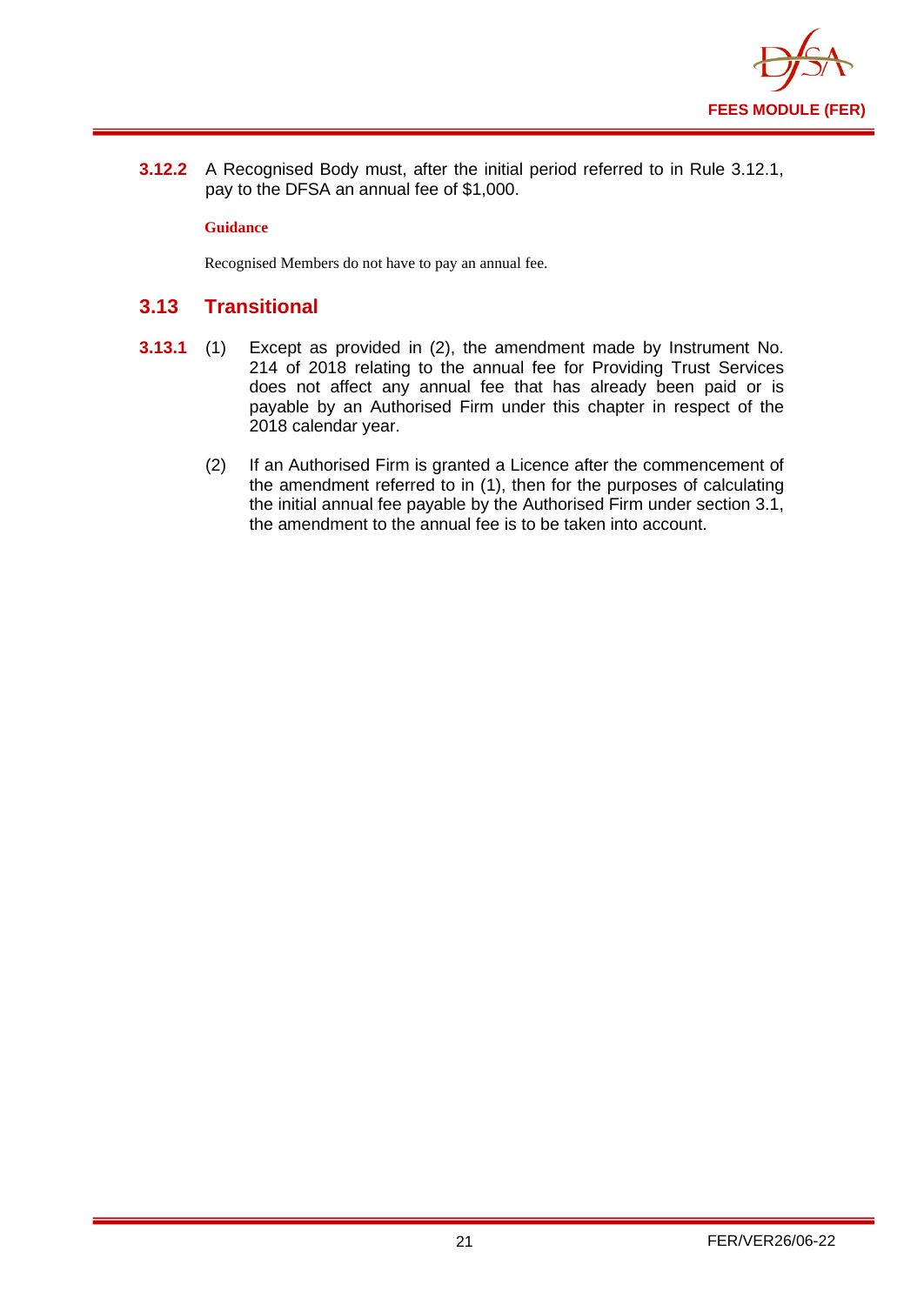

**3.12.2** A Recognised Body must, after the initial period referred to in Rule 3.12.1, pay to the DFSA an annual fee of \$1,000.

#### **Guidance**

Recognised Members do not have to pay an annual fee.

## <span id="page-22-0"></span>**3.13 Transitional**

- **3.13.1** (1) Except as provided in (2), the amendment made by Instrument No. 214 of 2018 relating to the annual fee for Providing Trust Services does not affect any annual fee that has already been paid or is payable by an Authorised Firm under this chapter in respect of the 2018 calendar year.
	- (2) If an Authorised Firm is granted a Licence after the commencement of the amendment referred to in (1), then for the purposes of calculating the initial annual fee payable by the Authorised Firm under section 3.1, the amendment to the annual fee is to be taken into account.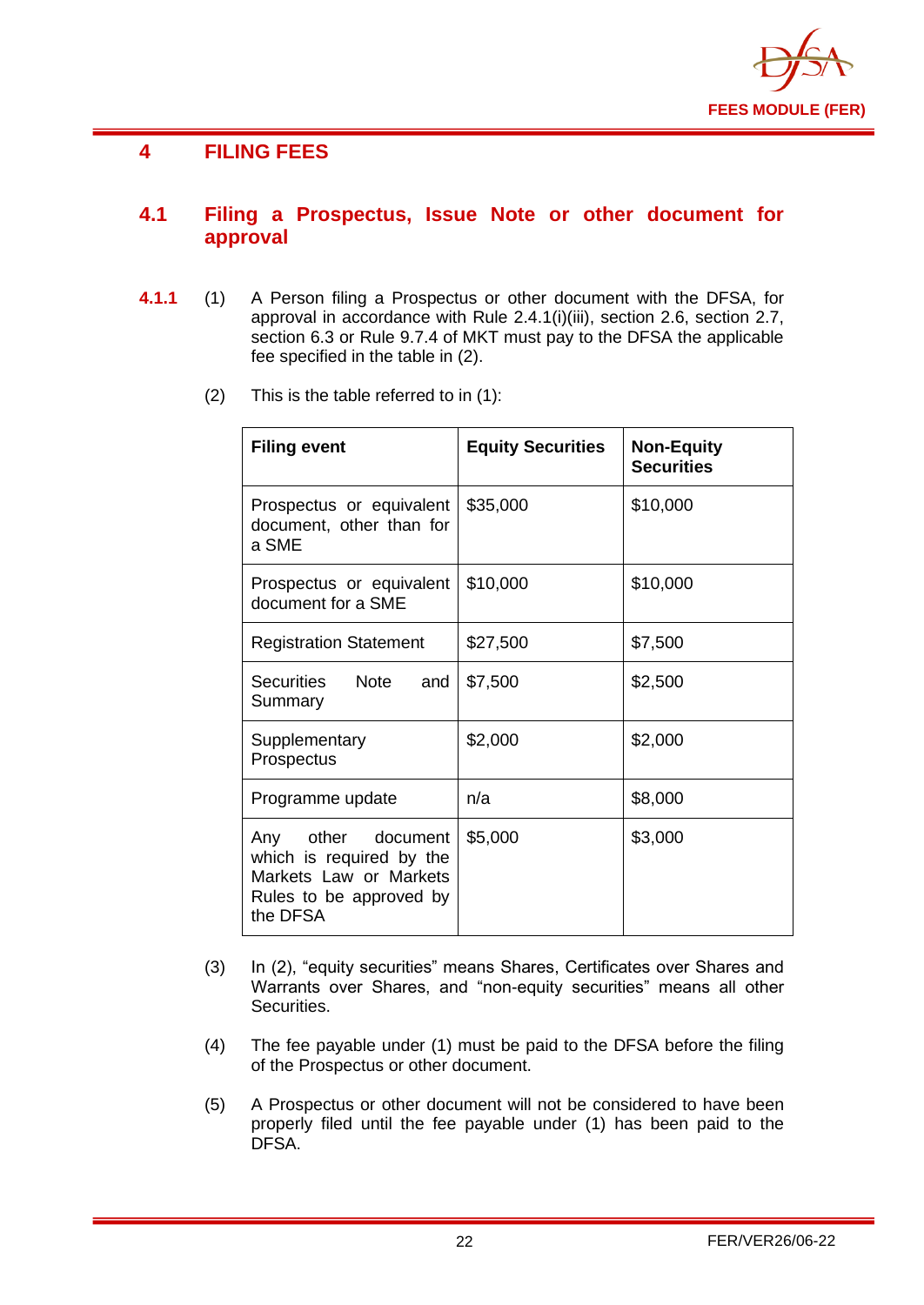

## <span id="page-23-0"></span>**4 FILING FEES**

## <span id="page-23-1"></span>**4.1 Filing a Prospectus, Issue Note or other document for approval**

- **4.1.1** (1) A Person filing a Prospectus or other document with the DFSA, for approval in accordance with Rule 2.4.1(i)(iii), section 2.6, section 2.7, section 6.3 or Rule 9.7.4 of MKT must pay to the DFSA the applicable fee specified in the table in (2).
	- (2) This is the table referred to in (1):

| <b>Filing event</b>                                                                                                | <b>Equity Securities</b> | <b>Non-Equity</b><br><b>Securities</b> |
|--------------------------------------------------------------------------------------------------------------------|--------------------------|----------------------------------------|
| Prospectus or equivalent<br>document, other than for<br>a SME                                                      | \$35,000                 | \$10,000                               |
| Prospectus or equivalent<br>document for a SME                                                                     | \$10,000                 | \$10,000                               |
| <b>Registration Statement</b>                                                                                      | \$27,500                 | \$7,500                                |
| <b>Note</b><br>Securities<br>and<br>Summary                                                                        | \$7,500                  | \$2,500                                |
| Supplementary<br>Prospectus                                                                                        | \$2,000                  | \$2,000                                |
| Programme update                                                                                                   | n/a                      | \$8,000                                |
| other document<br>Any<br>which is required by the<br>Markets Law or Markets<br>Rules to be approved by<br>the DFSA | \$5,000                  | \$3,000                                |

- (3) In (2), "equity securities" means Shares, Certificates over Shares and Warrants over Shares, and "non-equity securities" means all other Securities.
- (4) The fee payable under (1) must be paid to the DFSA before the filing of the Prospectus or other document.
- (5) A Prospectus or other document will not be considered to have been properly filed until the fee payable under (1) has been paid to the DFSA.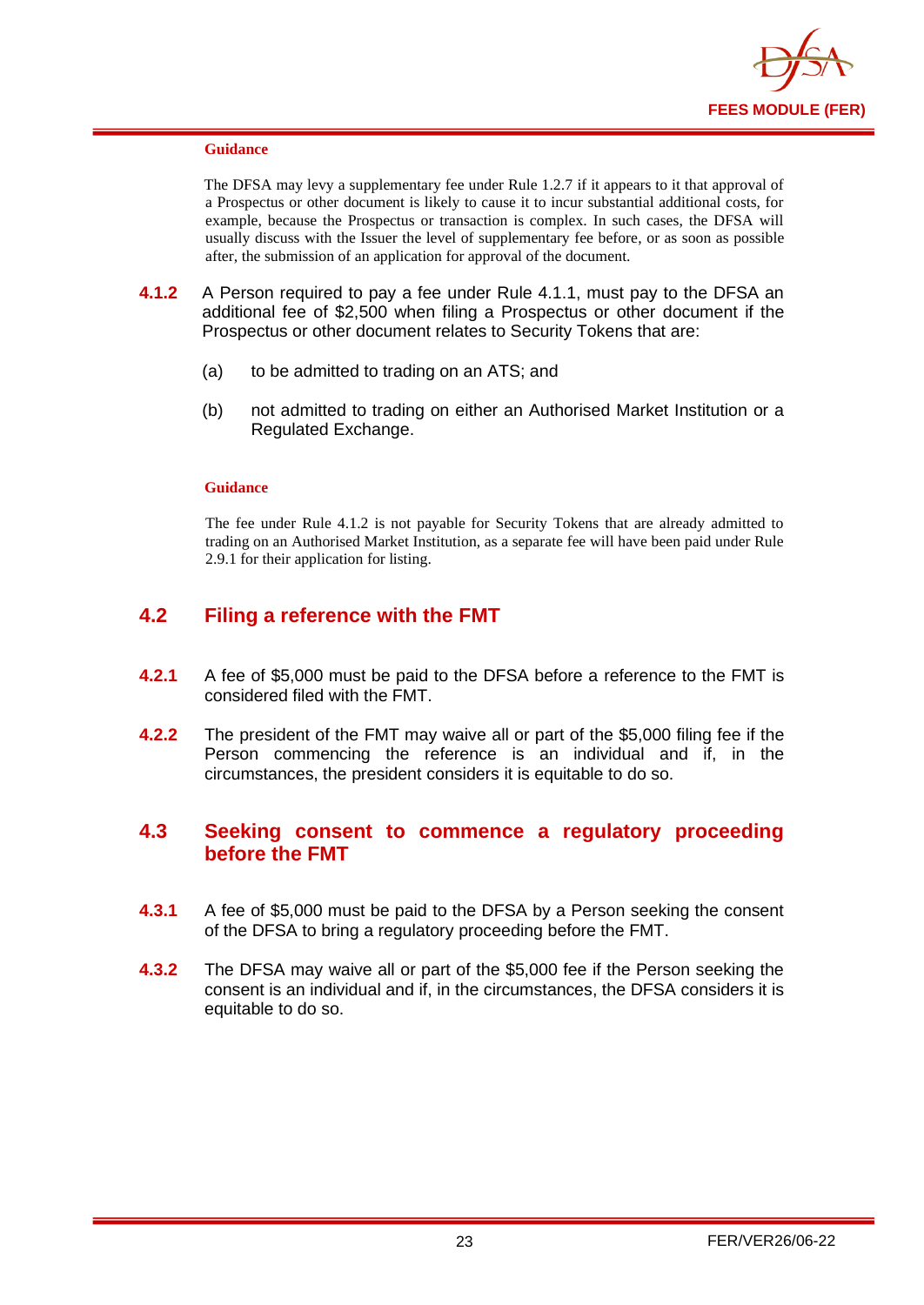

#### **Guidance**

The DFSA may levy a supplementary fee under Rule 1.2.7 if it appears to it that approval of a Prospectus or other document is likely to cause it to incur substantial additional costs, for example, because the Prospectus or transaction is complex. In such cases, the DFSA will usually discuss with the Issuer the level of supplementary fee before, or as soon as possible after, the submission of an application for approval of the document.

- **4.1.2** A Person required to pay a fee under Rule 4.1.1, must pay to the DFSA an additional fee of \$2,500 when filing a Prospectus or other document if the Prospectus or other document relates to Security Tokens that are:
	- (a) to be admitted to trading on an ATS; and
	- (b) not admitted to trading on either an Authorised Market Institution or a Regulated Exchange.

#### **Guidance**

The fee under Rule 4.1.2 is not payable for Security Tokens that are already admitted to trading on an Authorised Market Institution, as a separate fee will have been paid under Rule 2.9.1 for their application for listing.

## <span id="page-24-0"></span>**4.2 Filing a reference with the FMT**

- **4.2.1** A fee of \$5,000 must be paid to the DFSA before a reference to the FMT is considered filed with the FMT.
- **4.2.2** The president of the FMT may waive all or part of the \$5,000 filing fee if the Person commencing the reference is an individual and if, in the circumstances, the president considers it is equitable to do so.

## <span id="page-24-1"></span>**4.3 Seeking consent to commence a regulatory proceeding before the FMT**

- **4.3.1** A fee of \$5,000 must be paid to the DFSA by a Person seeking the consent of the DFSA to bring a regulatory proceeding before the FMT.
- **4.3.2** The DFSA may waive all or part of the \$5,000 fee if the Person seeking the consent is an individual and if, in the circumstances, the DFSA considers it is equitable to do so.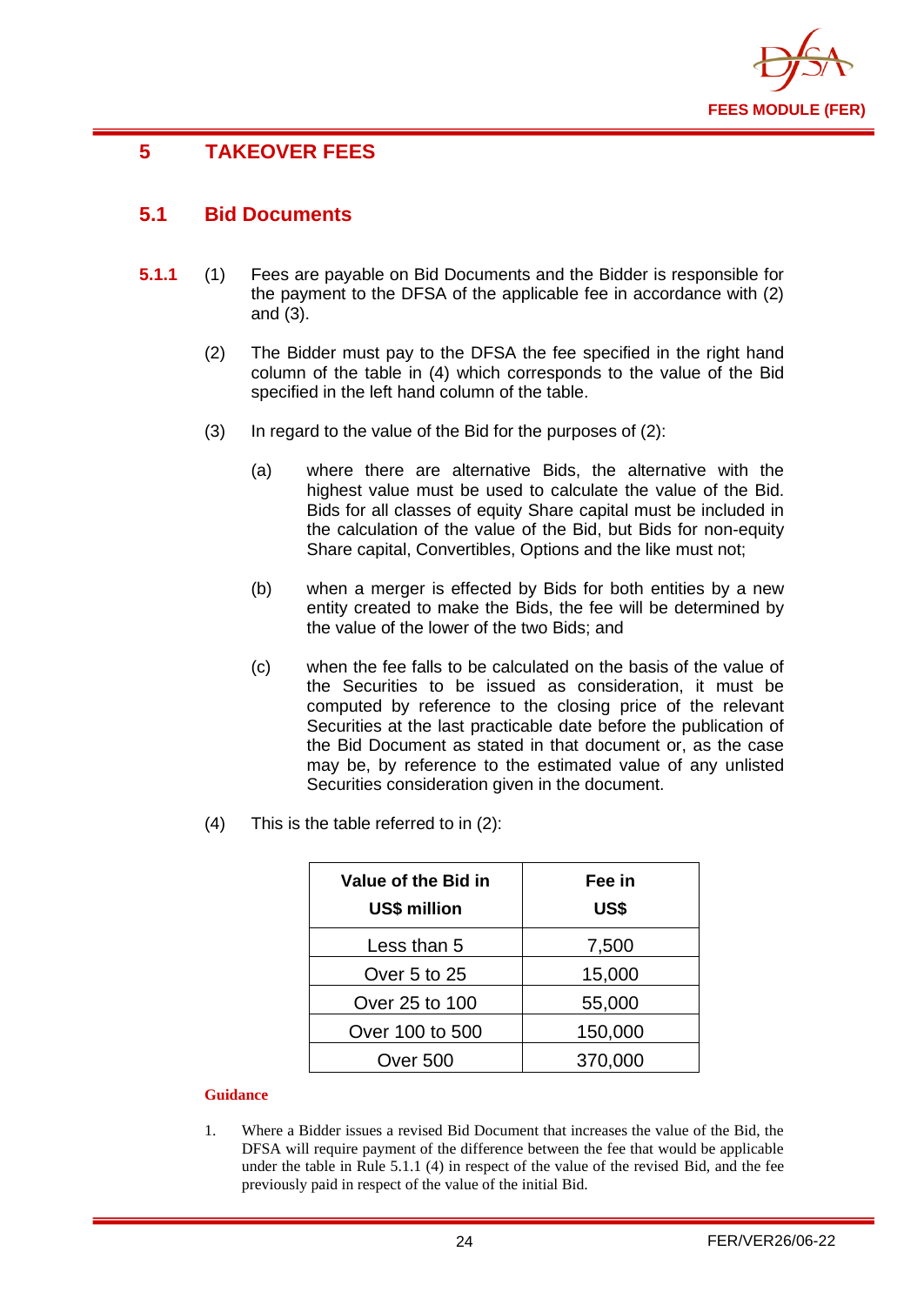

## <span id="page-25-0"></span>**5 TAKEOVER FEES**

## <span id="page-25-1"></span>**5.1 Bid Documents**

- **5.1.1** (1) Fees are payable on Bid Documents and the Bidder is responsible for the payment to the DFSA of the applicable fee in accordance with (2) and (3).
	- (2) The Bidder must pay to the DFSA the fee specified in the right hand column of the table in (4) which corresponds to the value of the Bid specified in the left hand column of the table.
	- (3) In regard to the value of the Bid for the purposes of (2):
		- (a) where there are alternative Bids, the alternative with the highest value must be used to calculate the value of the Bid. Bids for all classes of equity Share capital must be included in the calculation of the value of the Bid, but Bids for non-equity Share capital, Convertibles, Options and the like must not;
		- (b) when a merger is effected by Bids for both entities by a new entity created to make the Bids, the fee will be determined by the value of the lower of the two Bids; and
		- (c) when the fee falls to be calculated on the basis of the value of the Securities to be issued as consideration, it must be computed by reference to the closing price of the relevant Securities at the last practicable date before the publication of the Bid Document as stated in that document or, as the case may be, by reference to the estimated value of any unlisted Securities consideration given in the document.
	- (4) This is the table referred to in (2):

| Value of the Bid in<br><b>US\$ million</b> | Fee in<br>US\$ |
|--------------------------------------------|----------------|
| Less than 5                                | 7,500          |
| Over 5 to 25                               | 15,000         |
| Over 25 to 100                             | 55,000         |
| Over 100 to 500                            | 150,000        |
| Over 500                                   | 370,000        |

#### **Guidance**

1. Where a Bidder issues a revised Bid Document that increases the value of the Bid, the DFSA will require payment of the difference between the fee that would be applicable under the table in Rule 5.1.1 (4) in respect of the value of the revised Bid, and the fee previously paid in respect of the value of the initial Bid.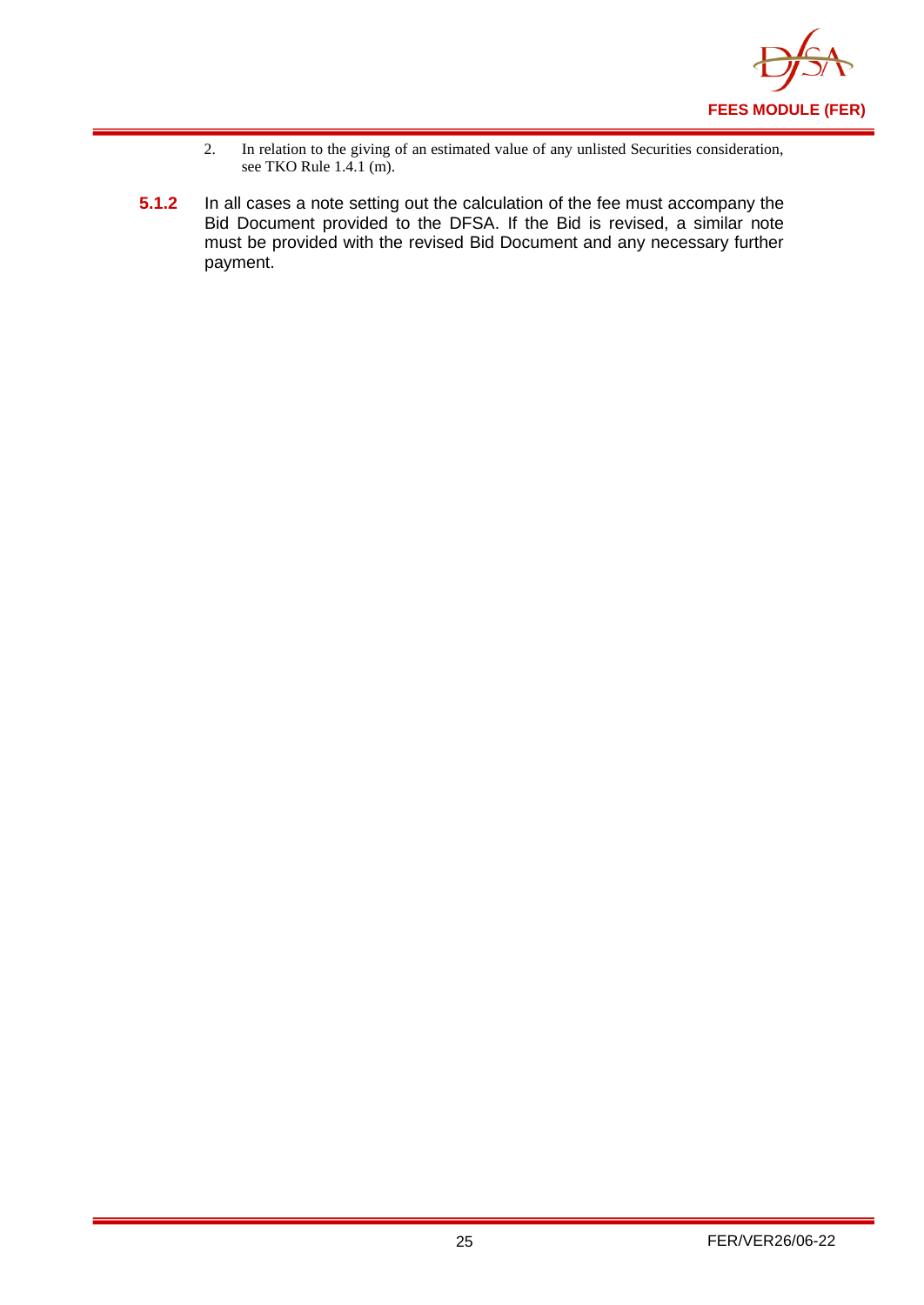

- 2. In relation to the giving of an estimated value of any unlisted Securities consideration, see TKO Rule 1.4.1 (m).
- **5.1.2** In all cases a note setting out the calculation of the fee must accompany the Bid Document provided to the DFSA. If the Bid is revised, a similar note must be provided with the revised Bid Document and any necessary further payment.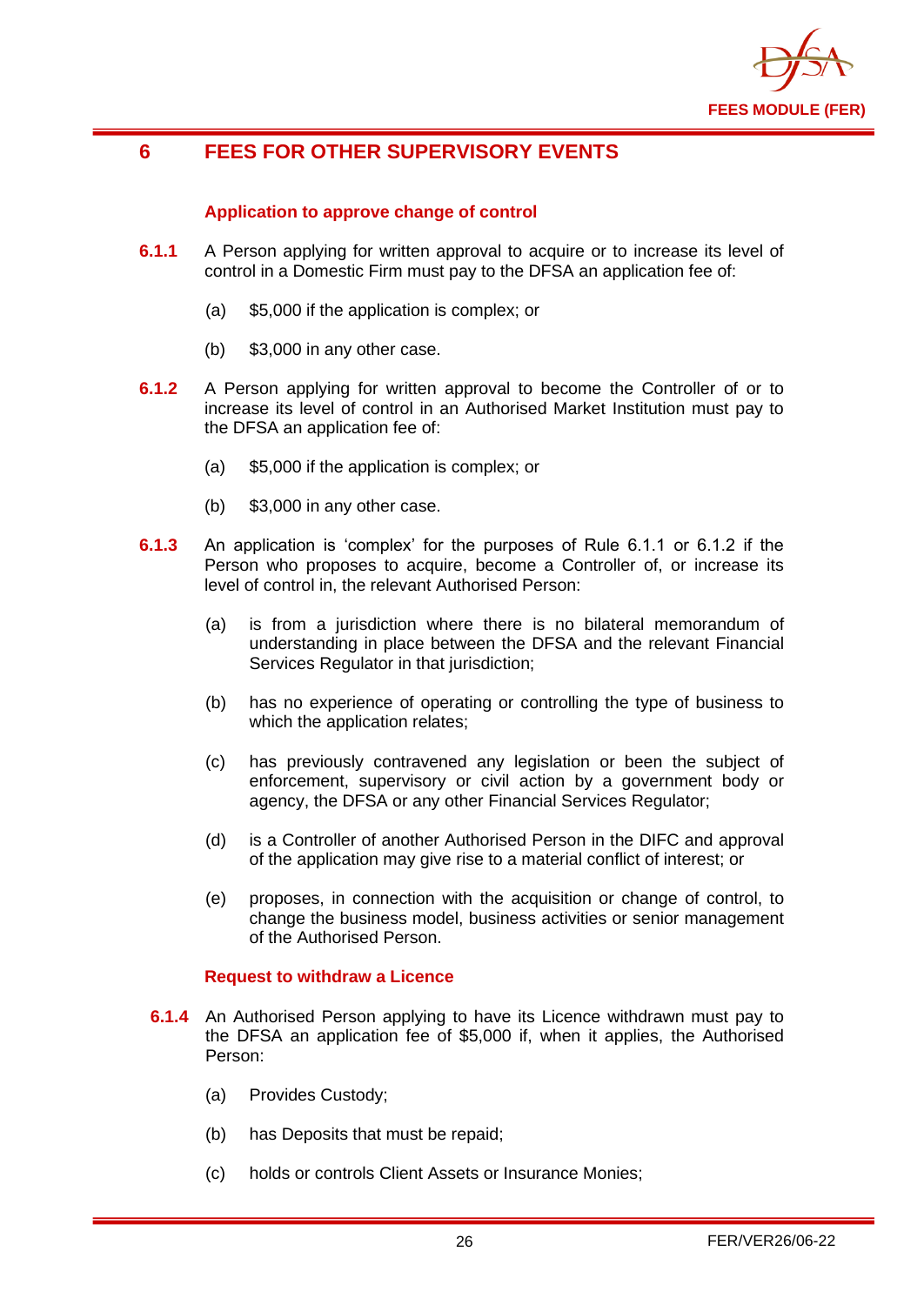

## <span id="page-27-0"></span>**6 FEES FOR OTHER SUPERVISORY EVENTS**

#### **Application to approve change of control**

- **6.1.1** A Person applying for written approval to acquire or to increase its level of control in a Domestic Firm must pay to the DFSA an application fee of:
	- (a) \$5,000 if the application is complex; or
	- (b) \$3,000 in any other case.
- **6.1.2** A Person applying for written approval to become the Controller of or to increase its level of control in an Authorised Market Institution must pay to the DFSA an application fee of:
	- (a) \$5,000 if the application is complex; or
	- (b) \$3,000 in any other case.
- **6.1.3** An application is 'complex' for the purposes of Rule 6.1.1 or 6.1.2 if the Person who proposes to acquire, become a Controller of, or increase its level of control in, the relevant Authorised Person:
	- (a) is from a jurisdiction where there is no bilateral memorandum of understanding in place between the DFSA and the relevant Financial Services Regulator in that jurisdiction;
	- (b) has no experience of operating or controlling the type of business to which the application relates;
	- (c) has previously contravened any legislation or been the subject of enforcement, supervisory or civil action by a government body or agency, the DFSA or any other Financial Services Regulator;
	- (d) is a Controller of another Authorised Person in the DIFC and approval of the application may give rise to a material conflict of interest; or
	- (e) proposes, in connection with the acquisition or change of control, to change the business model, business activities or senior management of the Authorised Person.

#### **Request to withdraw a Licence**

- **6.1.4** An Authorised Person applying to have its Licence withdrawn must pay to the DFSA an application fee of \$5,000 if, when it applies, the Authorised Person:
	- (a) Provides Custody;
	- (b) has Deposits that must be repaid;
	- (c) holds or controls Client Assets or Insurance Monies;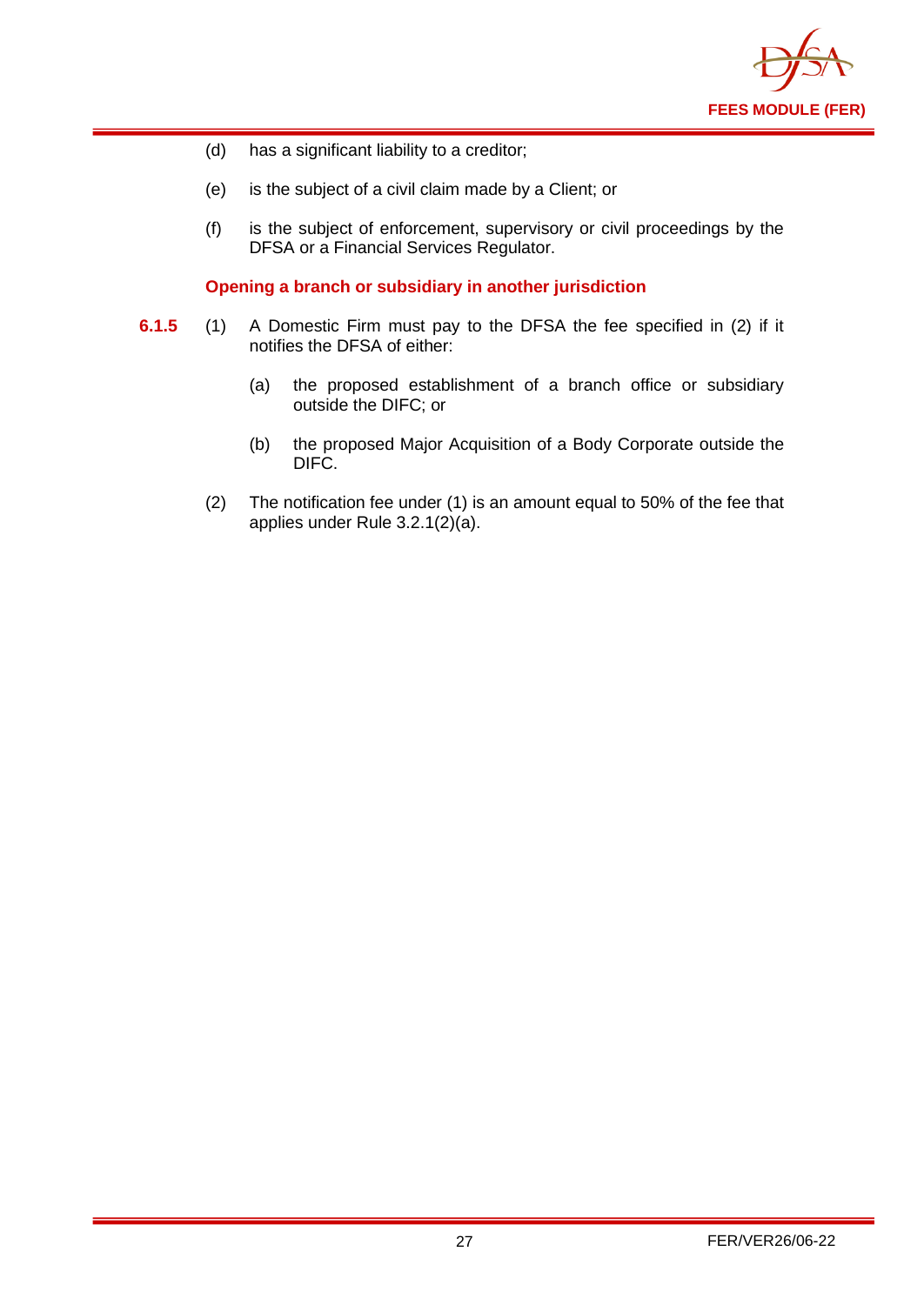

- (d) has a significant liability to a creditor;
- (e) is the subject of a civil claim made by a Client; or
- (f) is the subject of enforcement, supervisory or civil proceedings by the DFSA or a Financial Services Regulator.

**Opening a branch or subsidiary in another jurisdiction** 

- **6.1.5** (1) A Domestic Firm must pay to the DFSA the fee specified in (2) if it notifies the DFSA of either:
	- (a) the proposed establishment of a branch office or subsidiary outside the DIFC; or
	- (b) the proposed Major Acquisition of a Body Corporate outside the DIFC.
	- (2) The notification fee under (1) is an amount equal to 50% of the fee that applies under Rule 3.2.1(2)(a).